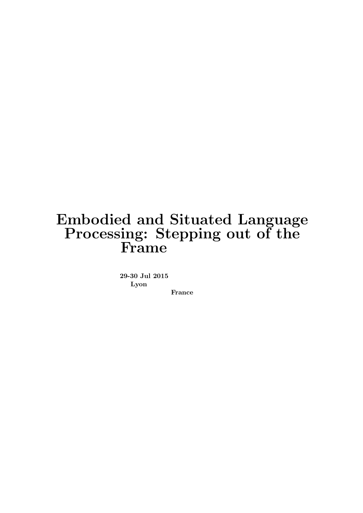### Embodied and Situated Language Processing: Stepping out of the Frame

29-30 Jul 2015 Lyon

France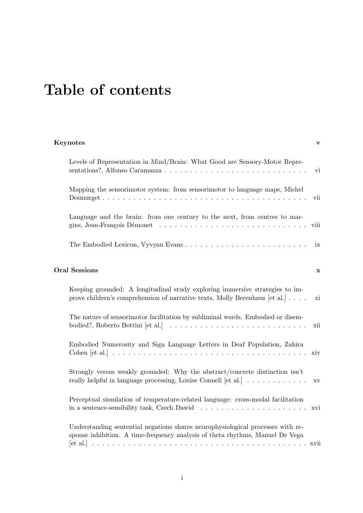## Table of contents

#### [Keynotes](#page-5-0) v

| Levels of Representation in Mind/Brain: What Good are Sensory-Motor Repre-                                                                                                                   | vi                     |  |
|----------------------------------------------------------------------------------------------------------------------------------------------------------------------------------------------|------------------------|--|
| Mapping the sensorimotor system: from sensorimotor to language maps, Michel                                                                                                                  | vii                    |  |
| Language and the brain: from one century to the next, from centres to mar-                                                                                                                   | viii                   |  |
|                                                                                                                                                                                              | ix                     |  |
| <b>Oral Sessions</b>                                                                                                                                                                         |                        |  |
| Keeping grounded: A longitudinal study exploring immersive strategies to im-<br>prove children's comprehension of narrative texts, Molly Berenhaus [et al.]                                  | xi                     |  |
| The nature of sensorimotor facilitation by subliminal words. Embodied or disem-<br>bodied?, Roberto Bottini [et al.] $\ldots \ldots \ldots \ldots \ldots \ldots \ldots \ldots \ldots \ldots$ | xii                    |  |
| Embodied Numerosity and Sign Language Letters in Deaf Population, Zahira                                                                                                                     | xiv                    |  |
| Strongly versus weakly grounded: Why the abstract/concrete distinction isn't<br>really helpful in language processing, Louise Connell [et al.]                                               | $\mathbf{X}\mathbf{V}$ |  |
| Perceptual simulation of temperature-related language: cross-modal facilitation                                                                                                              | xvi                    |  |
| Understanding sentential negations shares neurophysiological processes with re-<br>sponse inhibition. A time-frequency analysis of theta rhythms, Manuel De Vega                             |                        |  |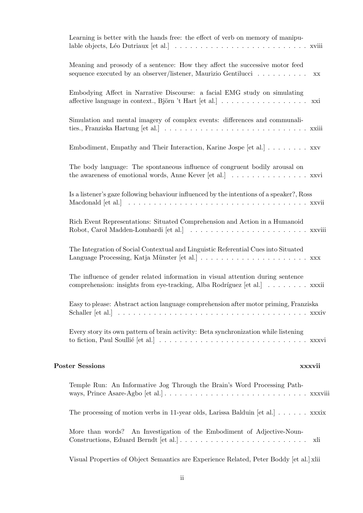| Learning is better with the hands free: the effect of verb on memory of manipu-                                                                                           |  |
|---------------------------------------------------------------------------------------------------------------------------------------------------------------------------|--|
| Meaning and prosody of a sentence: How they affect the successive motor feed<br>sequence executed by an observer/listener, Maurizio Gentilucci<br>$\mathbf{X} \mathbf{X}$ |  |
| Embodying Affect in Narrative Discourse: a facial EMG study on simulating<br>affective language in context., Björn 't Hart [et al.] xxi                                   |  |
| Simulation and mental imagery of complex events: differences and communali-                                                                                               |  |
| Embodiment, Empathy and Their Interaction, Karine Jospe [et al.] xxv                                                                                                      |  |
| The body language: The spontaneous influence of congruent bodily arousal on<br>the awareness of emotional words, Anne Kever [et al.] xxvi                                 |  |
| Is a listener's gaze following behaviour influenced by the intentions of a speaker?, Ross                                                                                 |  |
| Rich Event Representations: Situated Comprehension and Action in a Humanoid                                                                                               |  |
| The Integration of Social Contextual and Linguistic Referential Cues into Situated                                                                                        |  |
| The influence of gender related information in visual attention during sentence<br>comprehension: insights from eye-tracking, Alba Rodríguez [et al.] xxxii               |  |
| Easy to please: Abstract action language comprehension after motor priming, Franziska                                                                                     |  |
| Every story its own pattern of brain activity: Beta synchronization while listening                                                                                       |  |
| <b>Poster Sessions</b><br>xxxvii                                                                                                                                          |  |
| Temple Run: An Informative Jog Through the Brain's Word Processing Path-                                                                                                  |  |
| The processing of motion verbs in 11-year olds, Larissa Balduin [et al.] $\ldots \ldots$ xxxix                                                                            |  |
| An Investigation of the Embodiment of Adjective-Noun-<br>More than words?<br>xli                                                                                          |  |
| Visual Properties of Object Semantics are Experience Related, Peter Boddy [et al.] xlii                                                                                   |  |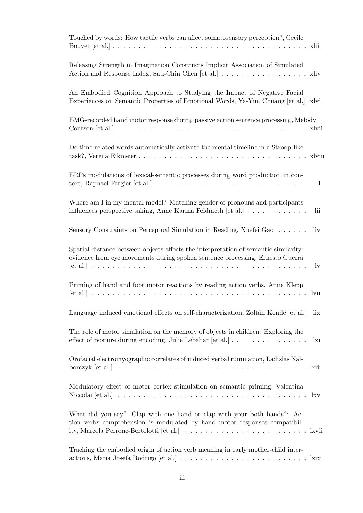| Touched by words: How tactile verbs can affect somatosensory perception?, Cécile                                                                                                          |
|-------------------------------------------------------------------------------------------------------------------------------------------------------------------------------------------|
| Releasing Strength in Imagination Constructs Implicit Association of Simulated<br>Action and Response Index, Sau-Chin Chen [et al.] xliv                                                  |
| An Embodied Cognition Approach to Studying the Impact of Negative Facial<br>Experiences on Semantic Properties of Emotional Words, Ya-Yun Chuang [et al.] xlvi                            |
| EMG-recorded hand motor response during passive action sentence processing, Melody                                                                                                        |
| Do time-related words automatically activate the mental timeline in a Stroop-like                                                                                                         |
| ERPs modulations of lexical-semantic processes during word production in con-<br>$\perp$                                                                                                  |
| Where am I in my mental model? Matching gender of pronouns and participants<br>influences perspective taking, Anne Karina Feldmeth [et al.]<br>lii                                        |
| Sensory Constraints on Perceptual Simulation in Reading, Xuefei Gao<br>liv                                                                                                                |
| Spatial distance between objects affects the interpretation of semantic similarity:<br>evidence from eye movements during spoken sentence processing, Ernesto Guerra<br>$_{\rm{lv}}$      |
| Priming of hand and foot motor reactions by reading action verbs, Anne Klepp<br>lvii                                                                                                      |
| Language induced emotional effects on self-characterization, Zoltán Kondé [et al.]<br>lix                                                                                                 |
| The role of motor simulation on the memory of objects in children: Exploring the<br>effect of posture during encoding, Julie Lebahar $[et al.] \ldots \ldots \ldots \ldots \ldots$<br>lxi |
| Orofacial electromyographic correlates of induced verbal rumination, Ladislas Nal-                                                                                                        |
| Modulatory effect of motor cortex stimulation on semantic priming, Valentina                                                                                                              |
| What did you say? Clap with one hand or clap with your both hands": Ac-<br>tion verbs comprehension is modulated by hand motor responses compatibil-                                      |
| Tracking the embodied origin of action verb meaning in early mother-child inter-                                                                                                          |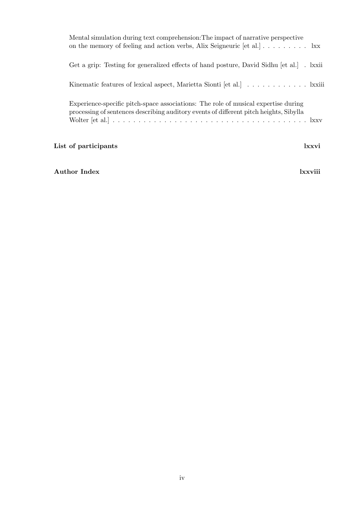| List of participants                                                                                                                                                              | lxxvi |
|-----------------------------------------------------------------------------------------------------------------------------------------------------------------------------------|-------|
| Experience-specific pitch-space associations: The role of musical expertise during<br>processing of sentences describing auditory events of different pitch heights, Sibylla      |       |
|                                                                                                                                                                                   |       |
| Get a grip: Testing for generalized effects of hand posture, David Sidhu [et al.]. kxii                                                                                           |       |
| Mental simulation during text comprehension: The impact of narrative perspective<br>on the memory of feeling and action verbs, Alix Seigneuric [et al.] $\ldots \ldots \ldots$ kx |       |

#### [Author Index](#page-78-0) lxxviii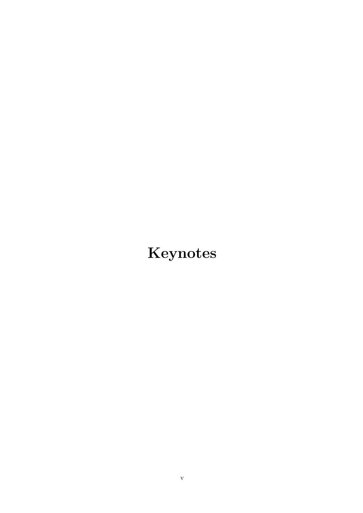# <span id="page-5-0"></span>Keynotes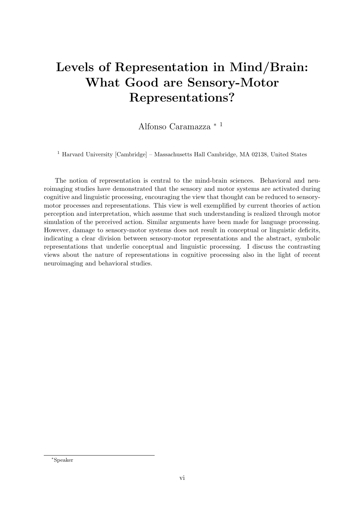### <span id="page-6-0"></span>Levels of Representation in Mind/Brain: What Good are Sensory-Motor Representations?

Alfonso Caramazza <sup>∗</sup> <sup>1</sup>

<sup>1</sup> Harvard University [Cambridge] – Massachusetts Hall Cambridge, MA 02138, United States

The notion of representation is central to the mind-brain sciences. Behavioral and neuroimaging studies have demonstrated that the sensory and motor systems are activated during cognitive and linguistic processing, encouraging the view that thought can be reduced to sensorymotor processes and representations. This view is well exemplified by current theories of action perception and interpretation, which assume that such understanding is realized through motor simulation of the perceived action. Similar arguments have been made for language processing. However, damage to sensory-motor systems does not result in conceptual or linguistic deficits, indicating a clear division between sensory-motor representations and the abstract, symbolic representations that underlie conceptual and linguistic processing. I discuss the contrasting views about the nature of representations in cognitive processing also in the light of recent neuroimaging and behavioral studies.

<sup>∗</sup>Speaker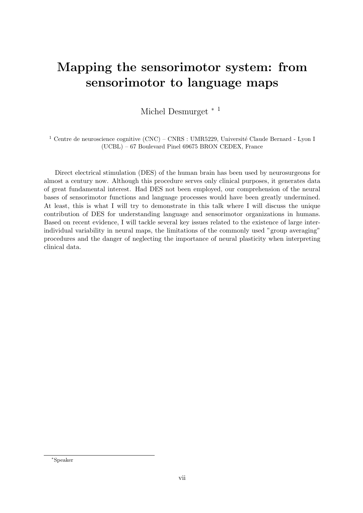#### <span id="page-7-0"></span>Mapping the sensorimotor system: from sensorimotor to language maps

Michel Desmurget <sup>∗</sup> <sup>1</sup>

 $^1$  Centre de neuroscience cognitive (CNC) – CNRS : UMR5229, Université Claude Bernard - Lyon I (UCBL) – 67 Boulevard Pinel 69675 BRON CEDEX, France

Direct electrical stimulation (DES) of the human brain has been used by neurosurgeons for almost a century now. Although this procedure serves only clinical purposes, it generates data of great fundamental interest. Had DES not been employed, our comprehension of the neural bases of sensorimotor functions and language processes would have been greatly undermined. At least, this is what I will try to demonstrate in this talk where I will discuss the unique contribution of DES for understanding language and sensorimotor organizations in humans. Based on recent evidence, I will tackle several key issues related to the existence of large interindividual variability in neural maps, the limitations of the commonly used "group averaging" procedures and the danger of neglecting the importance of neural plasticity when interpreting clinical data.

<sup>∗</sup>Speaker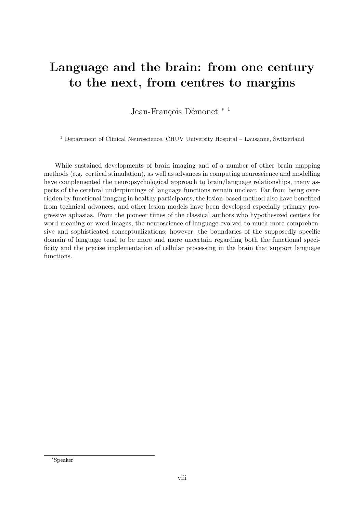#### <span id="page-8-0"></span>Language and the brain: from one century to the next, from centres to margins

Jean-François Démonet \*<sup>1</sup>

<sup>1</sup> Department of Clinical Neuroscience, CHUV University Hospital – Lausanne, Switzerland

While sustained developments of brain imaging and of a number of other brain mapping methods (e.g. cortical stimulation), as well as advances in computing neuroscience and modelling have complemented the neuropsychological approach to brain/language relationships, many aspects of the cerebral underpinnings of language functions remain unclear. Far from being overridden by functional imaging in healthy participants, the lesion-based method also have benefited from technical advances, and other lesion models have been developed especially primary progressive aphasias. From the pioneer times of the classical authors who hypothesized centers for word meaning or word images, the neuroscience of language evolved to much more comprehensive and sophisticated conceptualizations; however, the boundaries of the supposedly specific domain of language tend to be more and more uncertain regarding both the functional specificity and the precise implementation of cellular processing in the brain that support language functions.

<sup>∗</sup>Speaker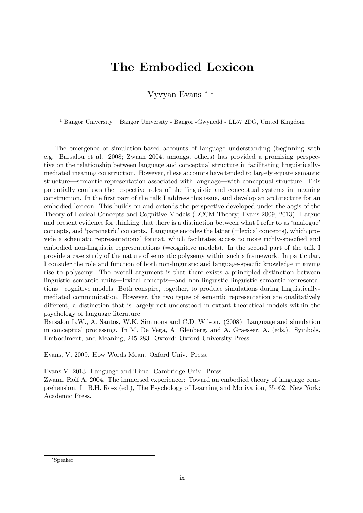#### <span id="page-9-0"></span>The Embodied Lexicon

Vyvyan Evans <sup>∗</sup> <sup>1</sup>

<sup>1</sup> Bangor University – Bangor University - Bangor -Gwynedd - LL57 2DG, United Kingdom

The emergence of simulation-based accounts of language understanding (beginning with e.g. Barsalou et al. 2008; Zwaan 2004, amongst others) has provided a promising perspective on the relationship between language and conceptual structure in facilitating linguisticallymediated meaning construction. However, these accounts have tended to largely equate semantic structure—semantic representation associated with language—with conceptual structure. This potentially confuses the respective roles of the linguistic and conceptual systems in meaning construction. In the first part of the talk I address this issue, and develop an architecture for an embodied lexicon. This builds on and extends the perspective developed under the aegis of the Theory of Lexical Concepts and Cognitive Models (LCCM Theory; Evans 2009, 2013). I argue and present evidence for thinking that there is a distinction between what I refer to as 'analogue' concepts, and 'parametric' concepts. Language encodes the latter (=lexical concepts), which provide a schematic representational format, which facilitates access to more richly-specified and embodied non-linguistic representations (=cognitive models). In the second part of the talk I provide a case study of the nature of semantic polysemy within such a framework. In particular, I consider the role and function of both non-linguistic and language-specific knowledge in giving rise to polysemy. The overall argument is that there exists a principled distinction between linguistic semantic units—lexical concepts—and non-linguistic linguistic semantic representations—cognitive models. Both conspire, together, to produce simulations during linguisticallymediated communication. However, the two types of semantic representation are qualitatively different, a distinction that is largely not understood in extant theoretical models within the psychology of language literature.

Barsalou L.W., A. Santos, W.K. Simmons and C.D. Wilson. (2008). Language and simulation in conceptual processing. In M. De Vega, A. Glenberg, and A. Graesser, A. (eds.). Symbols, Embodiment, and Meaning, 245-283. Oxford: Oxford University Press.

Evans, V. 2009. How Words Mean. Oxford Univ. Press.

Evans V. 2013. Language and Time. Cambridge Univ. Press.

Zwaan, Rolf A. 2004. The immersed experiencer: Toward an embodied theory of language comprehension. In B.H. Ross (ed.), The Psychology of Learning and Motivation, 35–62. New York: Academic Press.

<sup>∗</sup>Speaker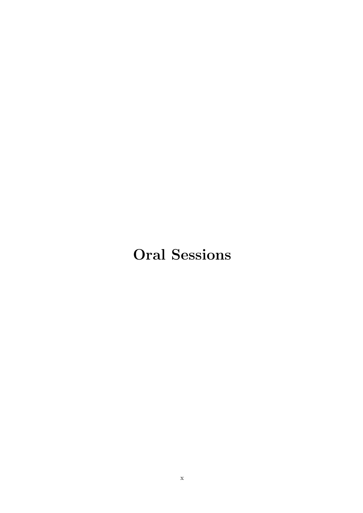## <span id="page-10-0"></span>Oral Sessions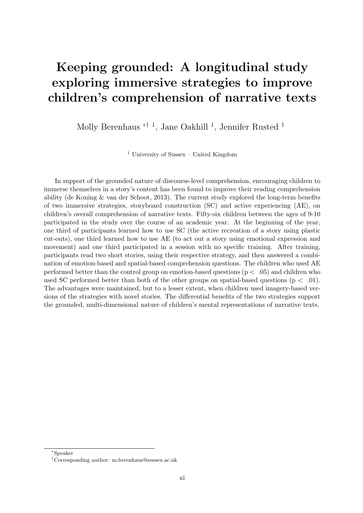### <span id="page-11-0"></span>Keeping grounded: A longitudinal study exploring immersive strategies to improve children's comprehension of narrative texts

Molly Berenhaus <sup>\*† 1</sup>, Jane Oakhill <sup>1</sup>, Jennifer Rusted <sup>1</sup>

<sup>1</sup> University of Sussex – United Kingdom

In support of the grounded nature of discourse-level comprehension, encouraging children to immerse themselves in a story's content has been found to improve their reading comprehension ability (de Koning & van der Schoot, 2013). The current study explored the long-term benefits of two immersive strategies, storyboard construction (SC) and active experiencing (AE), on children's overall comprehension of narrative texts. Fifty-six children between the ages of 9-10 participated in the study over the course of an academic year. At the beginning of the year, one third of participants learned how to use SC (the active recreation of a story using plastic cut-outs), one third learned how to use AE (to act out a story using emotional expression and movement) and one third participated in a session with no specific training. After training, participants read two short stories, using their respective strategy, and then answered a combination of emotion-based and spatial-based comprehension questions. The children who used AE performed better than the control group on emotion-based questions  $(p < .05)$  and children who used SC performed better than both of the other groups on spatial-based questions ( $p < .01$ ). The advantages were maintained, but to a lesser extent, when children used imagery-based versions of the strategies with novel stories. The differential benefits of the two strategies support the grounded, multi-dimensional nature of children's mental representations of narrative texts.

<sup>∗</sup>Speaker

<sup>†</sup>Corresponding author: [m.berenhaus@sussex.ac.uk](mailto:m.berenhaus@sussex.ac.uk)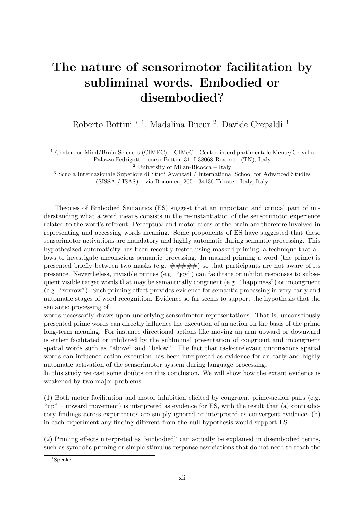### <span id="page-12-0"></span>The nature of sensorimotor facilitation by subliminal words. Embodied or disembodied?

Roberto Bottini <sup>\* 1</sup>, Madalina Bucur <sup>2</sup>, Davide Crepaldi <sup>3</sup>

<sup>1</sup> Center for Mind/Brain Sciences (CIMEC) – CIMeC - Centro interdipartimentale Mente/Cervello Palazzo Fedrigotti - corso Bettini 31, I-38068 Rovereto (TN), Italy

<sup>2</sup> University of Milan-Bicocca – Italy

<sup>3</sup> Scuola Internazionale Superiore di Studi Avanzati / International School for Advanced Studies (SISSA / ISAS) – via Bonomea, 265 - 34136 Trieste - Italy, Italy

Theories of Embodied Semantics (ES) suggest that an important and critical part of understanding what a word means consists in the re-instantiation of the sensorimotor experience related to the word's referent. Perceptual and motor areas of the brain are therefore involved in representing and accessing words meaning. Some proponents of ES have suggested that these sensorimotor activations are mandatory and highly automatic during semantic processing. This hypothesized automaticity has been recently tested using masked priming, a technique that allows to investigate unconscious semantic processing. In masked priming a word (the prime) is presented briefly between two masks (e.g.  $\# \# \# \#$ ) so that participants are not aware of its presence. Nevertheless, invisible primes (e.g. "joy") can facilitate or inhibit responses to subsequent visible target words that may be semantically congruent (e.g. "happiness") or incongruent (e.g. "sorrow"). Such priming effect provides evidence for semantic processing in very early and automatic stages of word recognition. Evidence so far seems to support the hypothesis that the semantic processing of

words necessarily draws upon underlying sensorimotor representations. That is, unconsciously presented prime words can directly influence the execution of an action on the basis of the prime long-term meaning. For instance directional actions like moving an arm upward or downward is either facilitated or inhibited by the subliminal presentation of congruent and incongruent spatial words such as "above" and "below". The fact that task-irrelevant unconscious spatial words can influence action execution has been interpreted as evidence for an early and highly automatic activation of the sensorimotor system during language processing.

In this study we cast some doubts on this conclusion. We will show how the extant evidence is weakened by two major problems:

(1) Both motor facilitation and motor inhibition elicited by congruent prime-action pairs (e.g. "up" – upward movement) is interpreted as evidence for ES, with the result that (a) contradictory findings across experiments are simply ignored or interpreted as convergent evidence; (b) in each experiment any finding different from the null hypothesis would support ES.

(2) Priming effects interpreted as "embodied" can actually be explained in disembodied terms, such as symbolic priming or simple stimulus-response associations that do not need to reach the

<sup>∗</sup>Speaker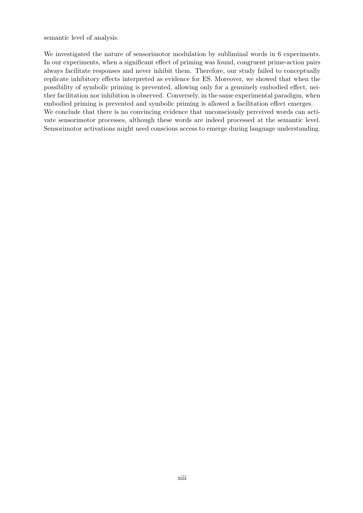semantic level of analysis.

We investigated the nature of sensorimotor modulation by subliminal words in 6 experiments. In our experiments, when a significant effect of priming was found, congruent prime-action pairs always facilitate responses and never inhibit them. Therefore, our study failed to conceptually replicate inhibitory effects interpreted as evidence for ES. Moreover, we showed that when the possibility of symbolic priming is prevented, allowing only for a genuinely embodied effect, neither facilitation nor inhibition is observed. Conversely, in the same experimental paradigm, when embodied priming is prevented and symbolic priming is allowed a facilitation effect emerges. We conclude that there is no convincing evidence that unconsciously perceived words can activate sensorimotor processes, although these words are indeed processed at the semantic level. Sensorimotor activations might need conscious access to emerge during language understanding.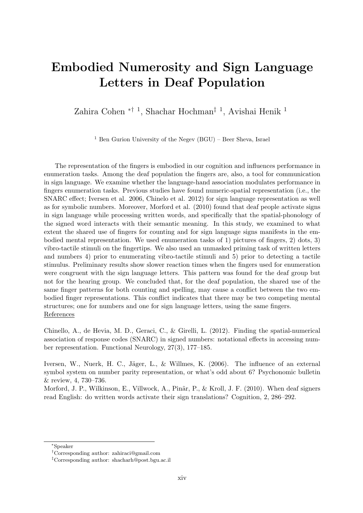#### <span id="page-14-0"></span>Embodied Numerosity and Sign Language Letters in Deaf Population

Zahira Cohen <sup>\*† 1</sup>, Shachar Hochman<sup>‡ 1</sup>, Avishai Henik <sup>1</sup>

<sup>1</sup> Ben Gurion University of the Negev  $(BGU)$  – Beer Sheva, Israel

The representation of the fingers is embodied in our cognition and influences performance in enumeration tasks. Among the deaf population the fingers are, also, a tool for communication in sign language. We examine whether the language-hand association modulates performance in fingers enumeration tasks. Previous studies have found numeric-spatial representation (i.e., the SNARC effect; Iversen et al. 2006, Chinelo et al. 2012) for sign language representation as well as for symbolic numbers. Moreover, Morford et al. (2010) found that deaf people activate signs in sign language while processing written words, and specifically that the spatial-phonology of the signed word interacts with their semantic meaning. In this study, we examined to what extent the shared use of fingers for counting and for sign language signs manifests in the embodied mental representation. We used enumeration tasks of 1) pictures of fingers, 2) dots, 3) vibro-tactile stimuli on the fingertips. We also used an unmasked priming task of written letters and numbers 4) prior to enumerating vibro-tactile stimuli and 5) prior to detecting a tactile stimulus. Preliminary results show slower reaction times when the fingers used for enumeration were congruent with the sign language letters. This pattern was found for the deaf group but not for the hearing group. We concluded that, for the deaf population, the shared use of the same finger patterns for both counting and spelling, may cause a conflict between the two embodied finger representations. This conflict indicates that there may be two competing mental structures; one for numbers and one for sign language letters, using the same fingers. References

Chinello, A., de Hevia, M. D., Geraci, C., & Girelli, L. (2012). Finding the spatial-numerical association of response codes (SNARC) in signed numbers: notational effects in accessing number representation. Functional Neurology, 27(3), 177–185.

Iversen, W., Nuerk, H. C., Jäger, L., & Willmes, K. (2006). The influence of an external symbol system on number parity representation, or what's odd about 6? Psychonomic bulletin & review, 4, 730–736.

Morford, J. P., Wilkinson, E., Villwock, A., Pinãr, P., & Kroll, J. F. (2010). When deaf signers read English: do written words activate their sign translations? Cognition, 2, 286–292.

<sup>∗</sup>Speaker

<sup>†</sup>Corresponding author: [zahiraci@gmail.com](mailto:zahiraci@gmail.com)

<sup>‡</sup>Corresponding author: [shacharh@post.bgu.ac.il](mailto:shacharh@post.bgu.ac.il)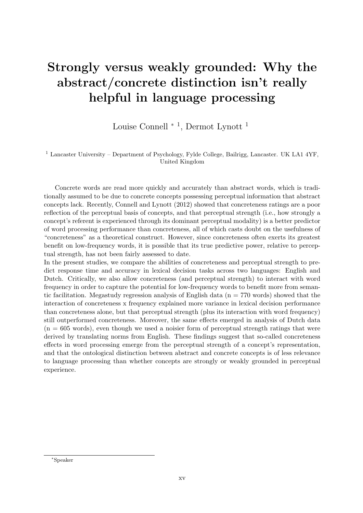### <span id="page-15-0"></span>Strongly versus weakly grounded: Why the abstract/concrete distinction isn't really helpful in language processing

Louise Connell <sup>∗</sup> <sup>1</sup> , Dermot Lynott <sup>1</sup>

<sup>1</sup> Lancaster University – Department of Psychology, Fylde College, Bailrigg, Lancaster. UK LA1 4YF, United Kingdom

Concrete words are read more quickly and accurately than abstract words, which is traditionally assumed to be due to concrete concepts possessing perceptual information that abstract concepts lack. Recently, Connell and Lynott (2012) showed that concreteness ratings are a poor reflection of the perceptual basis of concepts, and that perceptual strength (i.e., how strongly a concept's referent is experienced through its dominant perceptual modality) is a better predictor of word processing performance than concreteness, all of which casts doubt on the usefulness of "concreteness" as a theoretical construct. However, since concreteness often exerts its greatest benefit on low-frequency words, it is possible that its true predictive power, relative to perceptual strength, has not been fairly assessed to date.

In the present studies, we compare the abilities of concreteness and perceptual strength to predict response time and accuracy in lexical decision tasks across two languages: English and Dutch. Critically, we also allow concreteness (and perceptual strength) to interact with word frequency in order to capture the potential for low-frequency words to benefit more from semantic facilitation. Megastudy regression analysis of English data  $(n = 770 \text{ words})$  showed that the interaction of concreteness x frequency explained more variance in lexical decision performance than concreteness alone, but that perceptual strength (plus its interaction with word frequency) still outperformed concreteness. Moreover, the same effects emerged in analysis of Dutch data  $(n = 605 \text{ words})$ , even though we used a noisier form of perceptual strength ratings that were derived by translating norms from English. These findings suggest that so-called concreteness effects in word processing emerge from the perceptual strength of a concept's representation, and that the ontological distinction between abstract and concrete concepts is of less relevance to language processing than whether concepts are strongly or weakly grounded in perceptual experience.

<sup>∗</sup>Speaker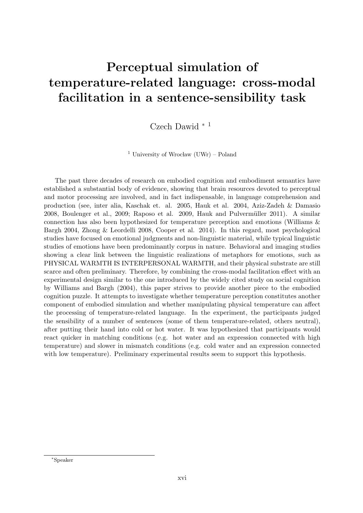## <span id="page-16-0"></span>Perceptual simulation of temperature-related language: cross-modal facilitation in a sentence-sensibility task

Czech Dawid <sup>∗</sup> <sup>1</sup>

<sup>1</sup> University of Wrocław (UWr) – Poland

The past three decades of research on embodied cognition and embodiment semantics have established a substantial body of evidence, showing that brain resources devoted to perceptual and motor processing are involved, and in fact indispensable, in language comprehension and production (see, inter alia, Kaschak et. al. 2005, Hauk et al. 2004, Aziz-Zadeh & Damasio 2008, Boulenger et al., 2009; Raposo et al. 2009, Hauk and Pulvermüller 2011). A similar connection has also been hypothesized for temperature perception and emotions (Williams & Bargh 2004, Zhong & Leordelli 2008, Cooper et al. 2014). In this regard, most psychological studies have focused on emotional judgments and non-linguistic material, while typical linguistic studies of emotions have been predominantly corpus in nature. Behavioral and imaging studies showing a clear link between the linguistic realizations of metaphors for emotions, such as PHYSICAL WARMTH IS INTERPERSONAL WARMTH, and their physical substrate are still scarce and often preliminary. Therefore, by combining the cross-modal facilitation effect with an experimental design similar to the one introduced by the widely cited study on social cognition by Williams and Bargh (2004), this paper strives to provide another piece to the embodied cognition puzzle. It attempts to investigate whether temperature perception constitutes another component of embodied simulation and whether manipulating physical temperature can affect the processing of temperature-related language. In the experiment, the participants judged the sensibility of a number of sentences (some of them temperature-related, others neutral), after putting their hand into cold or hot water. It was hypothesized that participants would react quicker in matching conditions (e.g. hot water and an expression connected with high temperature) and slower in mismatch conditions (e.g. cold water and an expression connected with low temperature). Preliminary experimental results seem to support this hypothesis.

<sup>∗</sup>Speaker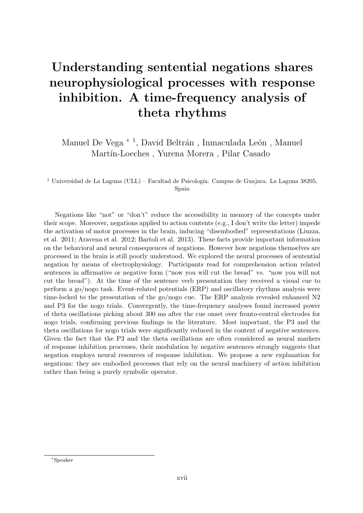### <span id="page-17-0"></span>Understanding sentential negations shares neurophysiological processes with response inhibition. A time-frequency analysis of theta rhythms

Manuel De Vega<sup>\*1</sup>, David Beltrán, Inmaculada León, Manuel Martín-Loeches, Yurena Morera, Pilar Casado

<sup>1</sup> Universidad de La Laguna (ULL) – Facultad de Psicología. Campus de Guajara. La Laguna 38205, Spain

Negations like "not" or "don't" reduce the accessibility in memory of the concepts under their scope. Moreover, negations applied to action contents (e.g., I don't write the letter) impede the activation of motor processes in the brain, inducing "disembodied" representations (Liuzza, et al. 2011; Aravena et al. 2012; Bartoli et al. 2013). These facts provide important information on the behavioral and neural consequences of negations. However how negations themselves are processed in the brain is still poorly understood. We explored the neural processes of sentential negation by means of electrophysiology. Participants read for comprehension action related sentences in affirmative or negative form ("now you will cut the bread" vs. "now you will not cut the bread"). At the time of the sentence verb presentation they received a visual cue to perform a go/nogo task. Event-related potentials (ERP) and oscillatory rhythms analysis were time-locked to the presentation of the go/nogo cue. The ERP analysis revealed enhanced N2 and P3 for the nogo trials. Convergently, the time-frequency analyses found increased power of theta oscillations picking about 300 ms after the cue onset over fronto-central electrodes for nogo trials, confirming previous findings in the literature. Most important, the P3 and the theta oscillations for nogo trials were significantly reduced in the context of negative sentences. Given the fact that the P3 and the theta oscillations are often considered as neural markers of response inhibition processes, their modulation by negative sentences strongly suggests that negation employs neural resources of response inhibition. We propose a new explanation for negations: they are embodied processes that rely on the neural machinery of action inhibition rather than being a purely symbolic operator.

<sup>∗</sup>Speaker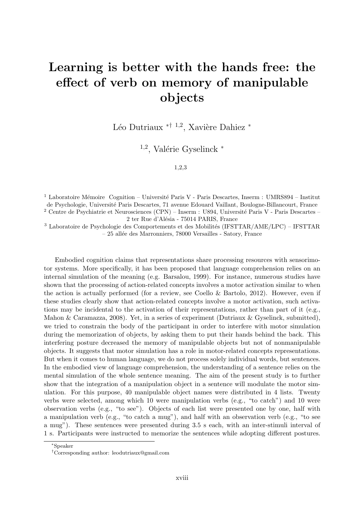#### <span id="page-18-0"></span>Learning is better with the hands free: the effect of verb on memory of manipulable objects

Léo Dutriaux <sup>\*† 1,2</sup>, Xavière Dahiez <sup>\*</sup>

 $1,2$ , Valérie Gyselinck  $*$ 

1,2,3

<sup>1</sup> Laboratoire Mémoire Cognition – Université Paris V - Paris Descartes, Inserm : UMRS894 – Institut de Psychologie, Universit´e Paris Descartes, 71 avenue Edouard Vaillant, Boulogne-Billancourt, France <sup>2</sup> Centre de Psychiatrie et Neurosciences (CPN) – Inserm : U894, Université Paris V - Paris Descartes – 2 ter Rue d'Alésia - 75014 PARIS, France

 $^3$  Laboratoire de Psychologie des Comportements et des Mobilités (IFSTTAR/AME/LPC) – IFSTTAR – 25 all´ee des Marronniers, 78000 Versailles - Satory, France

Embodied cognition claims that representations share processing resources with sensorimotor systems. More specifically, it has been proposed that language comprehension relies on an internal simulation of the meaning (e.g. Barsalou, 1999). For instance, numerous studies have shown that the processing of action-related concepts involves a motor activation similar to when the action is actually performed (for a review, see Coello & Bartolo, 2012). However, even if these studies clearly show that action-related concepts involve a motor activation, such activations may be incidental to the activation of their representations, rather than part of it (e.g., Mahon & Caramazza, 2008). Yet, in a series of experiment (Dutriaux & Gyselinck, submitted), we tried to constrain the body of the participant in order to interfere with motor simulation during the memorization of objects, by asking them to put their hands behind the back. This interfering posture decreased the memory of manipulable objects but not of nonmanipulable objects. It suggests that motor simulation has a role in motor-related concepts representations. But when it comes to human language, we do not process solely individual words, but sentences. In the embodied view of language comprehension, the understanding of a sentence relies on the mental simulation of the whole sentence meaning. The aim of the present study is to further show that the integration of a manipulation object in a sentence will modulate the motor simulation. For this purpose, 40 manipulable object names were distributed in 4 lists. Twenty verbs were selected, among which 10 were manipulation verbs (e.g., "to catch") and 10 were observation verbs (e.g., "to see"). Objects of each list were presented one by one, half with a manipulation verb (e.g., "to catch a mug"), and half with an observation verb (e.g., "to see a mug"). These sentences were presented during 3.5 s each, with an inter-stimuli interval of 1 s. Participants were instructed to memorize the sentences while adopting different postures.

<sup>∗</sup>Speaker

<sup>†</sup>Corresponding author: [leodutriaux@gmail.com](mailto:leodutriaux@gmail.com)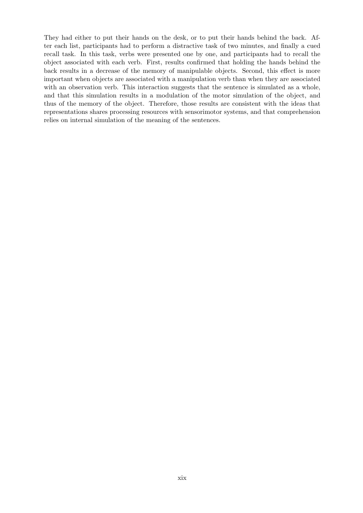They had either to put their hands on the desk, or to put their hands behind the back. After each list, participants had to perform a distractive task of two minutes, and finally a cued recall task. In this task, verbs were presented one by one, and participants had to recall the object associated with each verb. First, results confirmed that holding the hands behind the back results in a decrease of the memory of manipulable objects. Second, this effect is more important when objects are associated with a manipulation verb than when they are associated with an observation verb. This interaction suggests that the sentence is simulated as a whole, and that this simulation results in a modulation of the motor simulation of the object, and thus of the memory of the object. Therefore, those results are consistent with the ideas that representations shares processing resources with sensorimotor systems, and that comprehension relies on internal simulation of the meaning of the sentences.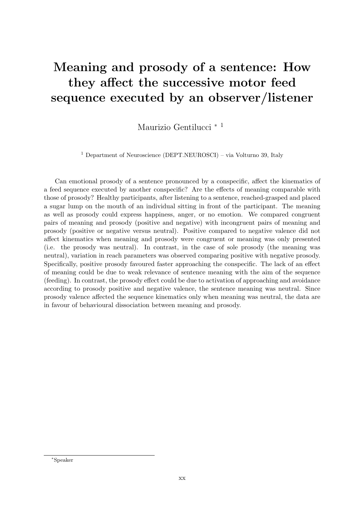### <span id="page-20-0"></span>Meaning and prosody of a sentence: How they affect the successive motor feed sequence executed by an observer/listener

Maurizio Gentilucci <sup>∗</sup> <sup>1</sup>

<sup>1</sup> Department of Neuroscience (DEPT.NEUROSCI) – via Volturno 39, Italy

Can emotional prosody of a sentence pronounced by a conspecific, affect the kinematics of a feed sequence executed by another conspecific? Are the effects of meaning comparable with those of prosody? Healthy participants, after listening to a sentence, reached-grasped and placed a sugar lump on the mouth of an individual sitting in front of the participant. The meaning as well as prosody could express happiness, anger, or no emotion. We compared congruent pairs of meaning and prosody (positive and negative) with incongruent pairs of meaning and prosody (positive or negative versus neutral). Positive compared to negative valence did not affect kinematics when meaning and prosody were congruent or meaning was only presented (i.e. the prosody was neutral). In contrast, in the case of sole prosody (the meaning was neutral), variation in reach parameters was observed comparing positive with negative prosody. Specifically, positive prosody favoured faster approaching the conspecific. The lack of an effect of meaning could be due to weak relevance of sentence meaning with the aim of the sequence (feeding). In contrast, the prosody effect could be due to activation of approaching and avoidance according to prosody positive and negative valence, the sentence meaning was neutral. Since prosody valence affected the sequence kinematics only when meaning was neutral, the data are in favour of behavioural dissociation between meaning and prosody.

<sup>∗</sup>Speaker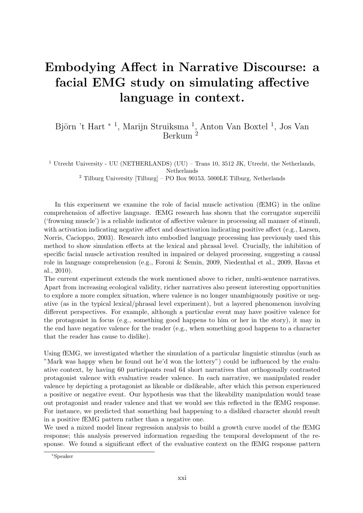#### <span id="page-21-0"></span>Embodying Affect in Narrative Discourse: a facial EMG study on simulating affective language in context.

#### Björn 't Hart <sup>\* 1</sup>, Marijn Struiksma <sup>1</sup>, Anton Van Boxtel <sup>1</sup>, Jos Van Berkum<sup>2</sup>

<sup>1</sup> Utrecht University - UU (NETHERLANDS) (UU) – Trans 10, 3512 JK, Utrecht, the Netherlands, Netherlands

 $^2$  Tilburg University [Tilburg] – PO Box 90153, 5000LE Tilburg, Netherlands

In this experiment we examine the role of facial muscle activation (fEMG) in the online comprehension of affective language. fEMG research has shown that the corrugator supercilii ('frowning muscle') is a reliable indicator of affective valence in processing all manner of stimuli, with activation indicating negative affect and deactivation indicating positive affect (e.g., Larsen, Norris, Cacioppo, 2003). Research into embodied language processing has previously used this method to show simulation effects at the lexical and phrasal level. Crucially, the inhibition of specific facial muscle activation resulted in impaired or delayed processing, suggesting a causal role in language comprehension (e.g., Foroni & Semin, 2009, Niedenthal et al., 2009, Havas et al., 2010).

The current experiment extends the work mentioned above to richer, multi-sentence narratives. Apart from increasing ecological validity, richer narratives also present interesting opportunities to explore a more complex situation, where valence is no longer unambiguously positive or negative (as in the typical lexical/phrasal level experiment), but a layered phenomenon involving different perspectives. For example, although a particular event may have positive valence for the protagonist in focus (e.g., something good happens to him or her in the story), it may in the end have negative valence for the reader (e.g., when something good happens to a character that the reader has cause to dislike).

Using fEMG, we investigated whether the simulation of a particular linguistic stimulus (such as "Mark was happy when he found out he'd won the lottery") could be influenced by the evaluative context, by having 60 participants read 64 short narratives that orthogonally contrasted protagonist valence with evaluative reader valence. In each narrative, we manipulated reader valence by depicting a protagonist as likeable or dislikeable, after which this person experienced a positive or negative event. Our hypothesis was that the likeability manipulation would tease out protagonist and reader valence and that we would see this reflected in the fEMG response. For instance, we predicted that something bad happening to a disliked character should result in a positive fEMG pattern rather than a negative one.

We used a mixed model linear regression analysis to build a growth curve model of the fEMG response; this analysis preserved information regarding the temporal development of the response. We found a significant effect of the evaluative context on the fEMG response pattern

<sup>∗</sup>Speaker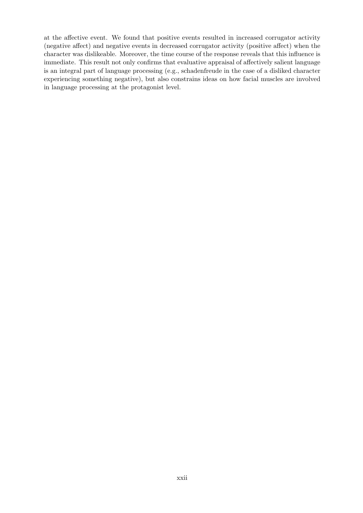at the affective event. We found that positive events resulted in increased corrugator activity (negative affect) and negative events in decreased corrugator activity (positive affect) when the character was dislikeable. Moreover, the time course of the response reveals that this influence is immediate. This result not only confirms that evaluative appraisal of affectively salient language is an integral part of language processing (e.g., schadenfreude in the case of a disliked character experiencing something negative), but also constrains ideas on how facial muscles are involved in language processing at the protagonist level.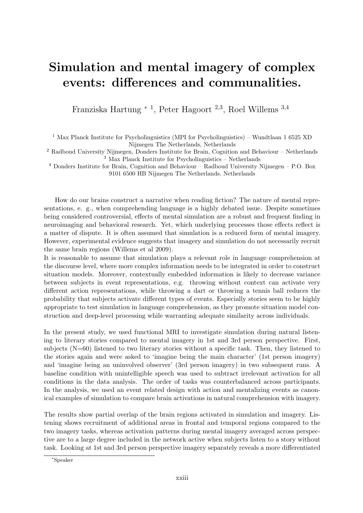#### <span id="page-23-0"></span>Simulation and mental imagery of complex events: differences and communalities.

Franziska Hartung <sup>∗</sup> <sup>1</sup> , Peter Hagoort <sup>2</sup>,<sup>3</sup> , Roel Willems <sup>3</sup>,<sup>4</sup>

<sup>1</sup> Max Planck Institute for Psycholinguistics (MPI for Psycholinguistics) – Wundtlaan 1 6525 XD Nijmegen The Netherlands, Netherlands

<sup>2</sup> Radboud University Nijmegen, Donders Institute for Brain, Cognition and Behaviour – Netherlands <sup>3</sup> Max Planck Institute for Psycholinguistics – Netherlands

<sup>4</sup> Donders Institute for Brain, Cognition and Behaviour – Radboud University Nijmegen – P.O. Box 9101 6500 HB Nijmegen The Netherlands, Netherlands

How do our brains construct a narrative when reading fiction? The nature of mental representations, e. g., when comprehending language is a highly debated issue. Despite sometimes being considered controversial, effects of mental simulation are a robust and frequent finding in neuroimaging and behavioral research. Yet, which underlying processes those effects reflect is a matter of dispute. It is often assumed that simulation is a reduced form of mental imagery. However, experimental evidence suggests that imagery and simulation do not necessarily recruit the same brain regions (Willems et al 2009).

It is reasonable to assume that simulation plays a relevant role in language comprehension at the discourse level, where more complex information needs to be integrated in order to construct situation models. Moreover, contextually embedded information is likely to decrease variance between subjects in event representations, e.g. throwing without context can activate very different action representations, while throwing a dart or throwing a tennis ball reduces the probability that subjects activate different types of events. Especially stories seem to be highly appropriate to test simulation in language comprehension, as they promote situation model construction and deep-level processing while warranting adequate similarity across individuals.

In the present study, we used functional MRI to investigate simulation during natural listening to literary stories compared to mental imagery in 1st and 3rd person perspective. First, subjects  $(N=60)$  listened to two literary stories without a specific task. Then, they listened to the stories again and were asked to 'imagine being the main character' (1st person imagery) and 'imagine being an uninvolved observer' (3rd person imagery) in two subsequent runs. A baseline condition with unintelligible speech was used to subtract irrelevant activation for all conditions in the data analysis. The order of tasks was counterbalanced across participants. In the analysis, we used an event related design with action and mentalizing events as canonical examples of simulation to compare brain activations in natural comprehension with imagery.

The results show partial overlap of the brain regions activated in simulation and imagery. Listening shows recruitment of additional areas in frontal and temporal regions compared to the two imagery tasks, whereas activation patterns during mental imagery averaged across perspective are to a large degree included in the network active when subjects listen to a story without task. Looking at 1st and 3rd person perspective imagery separately reveals a more differentiated

<sup>∗</sup>Speaker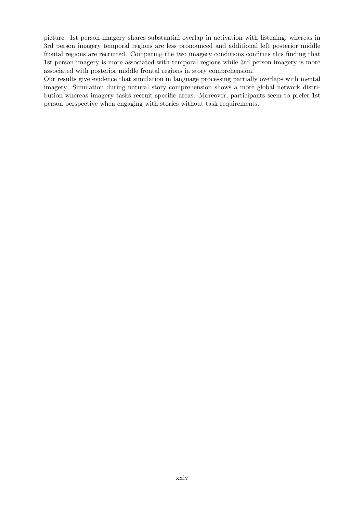picture: 1st person imagery shares substantial overlap in activation with listening, whereas in 3rd person imagery temporal regions are less pronounced and additional left posterior middle frontal regions are recruited. Comparing the two imagery conditions confirms this finding that 1st person imagery is more associated with temporal regions while 3rd person imagery is more associated with posterior middle frontal regions in story comprehension.

Our results give evidence that simulation in language processing partially overlaps with mental imagery. Simulation during natural story comprehension shows a more global network distribution whereas imagery tasks recruit specific areas. Moreover, participants seem to prefer 1st person perspective when engaging with stories without task requirements.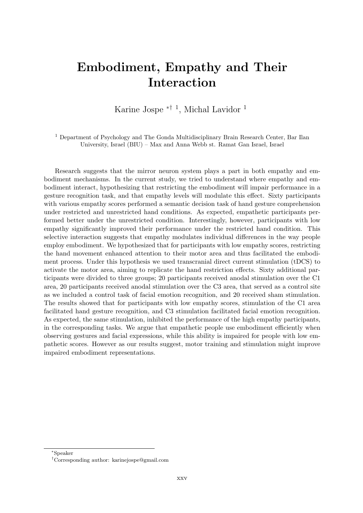#### <span id="page-25-0"></span>Embodiment, Empathy and Their Interaction

Karine Jospe ∗† <sup>1</sup> , Michal Lavidor <sup>1</sup>

<sup>1</sup> Department of Psychology and The Gonda Multidisciplinary Brain Research Center, Bar Ilan University, Israel (BIU) – Max and Anna Webb st. Ramat Gan Israel, Israel

Research suggests that the mirror neuron system plays a part in both empathy and embodiment mechanisms. In the current study, we tried to understand where empathy and embodiment interact, hypothesizing that restricting the embodiment will impair performance in a gesture recognition task, and that empathy levels will modulate this effect. Sixty participants with various empathy scores performed a semantic decision task of hand gesture comprehension under restricted and unrestricted hand conditions. As expected, empathetic participants performed better under the unrestricted condition. Interestingly, however, participants with low empathy significantly improved their performance under the restricted hand condition. This selective interaction suggests that empathy modulates individual differences in the way people employ embodiment. We hypothesized that for participants with low empathy scores, restricting the hand movement enhanced attention to their motor area and thus facilitated the embodiment process. Under this hypothesis we used transcranial direct current stimulation (tDCS) to activate the motor area, aiming to replicate the hand restriction effects. Sixty additional participants were divided to three groups; 20 participants received anodal stimulation over the C1 area, 20 participants received anodal stimulation over the C3 area, that served as a control site as we included a control task of facial emotion recognition, and 20 received sham stimulation. The results showed that for participants with low empathy scores, stimulation of the C1 area facilitated hand gesture recognition, and C3 stimulation facilitated facial emotion recognition. As expected, the same stimulation, inhibited the performance of the high empathy participants, in the corresponding tasks. We argue that empathetic people use embodiment efficiently when observing gestures and facial expressions, while this ability is impaired for people with low empathetic scores. However as our results suggest, motor training and stimulation might improve impaired embodiment representations.

<sup>∗</sup>Speaker

<sup>†</sup>Corresponding author: [karinejospe@gmail.com](mailto:karinejospe@gmail.com)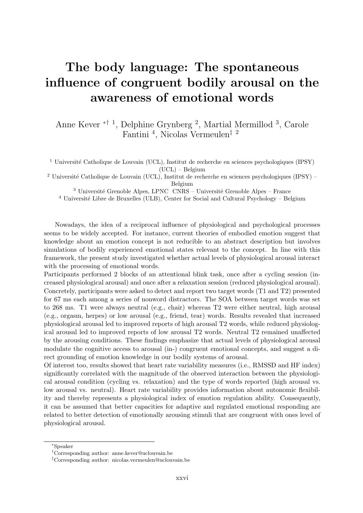### <span id="page-26-0"></span>The body language: The spontaneous influence of congruent bodily arousal on the awareness of emotional words

Anne Kever ∗† <sup>1</sup> , Delphine Grynberg <sup>2</sup> , Martial Mermillod <sup>3</sup> , Carole Fantini <sup>4</sup> , Nicolas Vermeulen‡ <sup>2</sup>

<sup>1</sup> Université Catholique de Louvain (UCL), Institut de recherche en sciences psychologiques (IPSY) (UCL) – Belgium

<sup>2</sup> Université Catholique de Louvain (UCL), Institut de recherche en sciences psychologiques (IPSY) – Belgium

<sup>3</sup> Université Grenoble Alpes, LPNC CNRS – Université Grenoble Alpes – France

 $4$  Université Libre de Bruxelles (ULB), Center for Social and Cultural Psychology – Belgium

Nowadays, the idea of a reciprocal influence of physiological and psychological processes seems to be widely accepted. For instance, current theories of embodied emotion suggest that knowledge about an emotion concept is not reducible to an abstract description but involves simulations of bodily experienced emotional states relevant to the concept. In line with this framework, the present study investigated whether actual levels of physiological arousal interact with the processing of emotional words.

Participants performed 2 blocks of an attentional blink task, once after a cycling session (increased physiological arousal) and once after a relaxation session (reduced physiological arousal). Concretely, participants were asked to detect and report two target words (T1 and T2) presented for 67 ms each among a series of nonword distractors. The SOA between target words was set to 268 ms. T1 were always neutral (e.g., chair) whereas T2 were either neutral, high arousal (e.g., orgasm, herpes) or low arousal (e.g., friend, tear) words. Results revealed that increased physiological arousal led to improved reports of high arousal T2 words, while reduced physiological arousal led to improved reports of low arousal T2 words. Neutral T2 remained unaffected by the arousing conditions. These findings emphasize that actual levels of physiological arousal modulate the cognitive access to arousal (in-) congruent emotional concepts, and suggest a direct grounding of emotion knowledge in our bodily systems of arousal.

Of interest too, results showed that heart rate variability measures (i.e., RMSSD and HF index) significantly correlated with the magnitude of the observed interaction between the physiological arousal condition (cycling vs. relaxation) and the type of words reported (high arousal vs. low arousal vs. neutral). Heart rate variability provides information about autonomic flexibility and thereby represents a physiological index of emotion regulation ability. Consequently, it can be assumed that better capacities for adaptive and regulated emotional responding are related to better detection of emotionally arousing stimuli that are congruent with ones level of physiological arousal.

<sup>∗</sup>Speaker

<sup>†</sup>Corresponding author: [anne.kever@uclouvain.be](mailto:anne.kever@uclouvain.be)

<sup>‡</sup>Corresponding author: [nicolas.vermeulen@uclouvain.be](mailto:nicolas.vermeulen@uclouvain.be)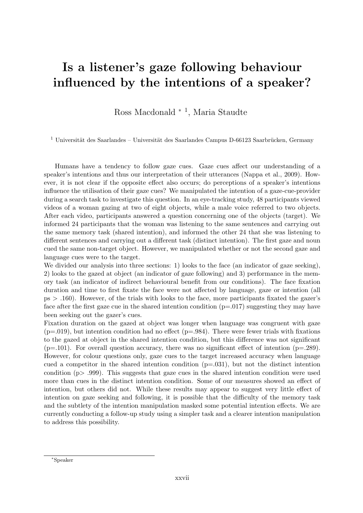#### <span id="page-27-0"></span>Is a listener's gaze following behaviour influenced by the intentions of a speaker?

Ross Macdonald <sup>∗</sup> <sup>1</sup> , Maria Staudte

 $1$  Universität des Saarlandes – Universität des Saarlandes Campus D-66123 Saarbrücken, Germany

Humans have a tendency to follow gaze cues. Gaze cues affect our understanding of a speaker's intentions and thus our interpretation of their utterances (Nappa et al., 2009). However, it is not clear if the opposite effect also occurs; do perceptions of a speaker's intentions influence the utilisation of their gaze cues? We manipulated the intention of a gaze-cue-provider during a search task to investigate this question. In an eye-tracking study, 48 participants viewed videos of a woman gazing at two of eight objects, while a male voice referred to two objects. After each video, participants answered a question concerning one of the objects (target). We informed 24 participants that the woman was listening to the same sentences and carrying out the same memory task (shared intention), and informed the other 24 that she was listening to different sentences and carrying out a different task (distinct intention). The first gaze and noun cued the same non-target object. However, we manipulated whether or not the second gaze and language cues were to the target.

We divided our analysis into three sections: 1) looks to the face (an indicator of gaze seeking), 2) looks to the gazed at object (an indicator of gaze following) and 3) performance in the memory task (an indicator of indirect behavioural benefit from our conditions). The face fixation duration and time to first fixate the face were not affected by language, gaze or intention (all ps > .160). However, of the trials with looks to the face, more participants fixated the gazer's face after the first gaze cue in the shared intention condition  $(p=0.017)$  suggesting they may have been seeking out the gazer's cues.

Fixation duration on the gazed at object was longer when language was congruent with gaze  $(p=0.019)$ , but intention condition had no effect  $(p=.984)$ . There were fewer trials with fixations to the gazed at object in the shared intention condition, but this difference was not significant  $(p=.101)$ . For overall question accuracy, there was no significant effect of intention  $(p=.289)$ . However, for colour questions only, gaze cues to the target increased accuracy when language cued a competitor in the shared intention condition  $(p=.031)$ , but not the distinct intention condition (p> .999). This suggests that gaze cues in the shared intention condition were used more than cues in the distinct intention condition. Some of our measures showed an effect of intention, but others did not. While these results may appear to suggest very little effect of intention on gaze seeking and following, it is possible that the difficulty of the memory task and the subtlety of the intention manipulation masked some potential intention effects. We are currently conducting a follow-up study using a simpler task and a clearer intention manipulation to address this possibility.

<sup>∗</sup>Speaker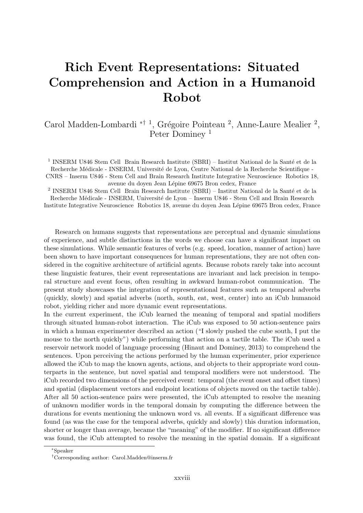### <span id="page-28-0"></span>Rich Event Representations: Situated Comprehension and Action in a Humanoid Robot

Carol Madden-Lombardi <sup>\*† 1</sup>, Grégoire Pointeau <sup>2</sup>, Anne-Laure Mealier <sup>2</sup>, Peter Dominey<sup>1</sup>

<sup>1</sup> INSERM U846 Stem Cell Brain Research Institute (SBRI) – Institut National de la Santé et de la Recherche Médicale - INSERM, Université de Lyon, Centre National de la Recherche Scientifique -CNRS – Inserm U846 - Stem Cell and Brain Research Institute Integrative Neuroscience Robotics 18, avenue du doyen Jean L´epine 69675 Bron cedex, France

<sup>2</sup> INSERM U846 Stem Cell Brain Research Institute (SBRI) – Institut National de la Santé et de la Recherche Médicale - INSERM, Université de Lyon – Inserm U846 - Stem Cell and Brain Research Institute Integrative Neuroscience Robotics 18, avenue du doyen Jean Lépine 69675 Bron cedex, France

Research on humans suggests that representations are perceptual and dynamic simulations of experience, and subtle distinctions in the words we choose can have a significant impact on these simulations. While semantic features of verbs (e.g. speed, location, manner of action) have been shown to have important consequences for human representations, they are not often considered in the cognitive architecture of artificial agents. Because robots rarely take into account these linguistic features, their event representations are invariant and lack precision in temporal structure and event focus, often resulting in awkward human-robot communication. The present study showcases the integration of representational features such as temporal adverbs (quickly, slowly) and spatial adverbs (north, south, eat, west, center) into an iCub humanoid robot, yielding richer and more dynamic event representations.

In the current experiment, the iCub learned the meaning of temporal and spatial modifiers through situated human-robot interaction. The iCub was exposed to 50 action-sentence pairs in which a human experimenter described an action ("I slowly pushed the cube south, I put the mouse to the north quickly") while performing that action on a tactile table. The iCub used a reservoir network model of language processing (Hinaut and Dominey, 2013) to comprehend the sentences. Upon perceiving the actions performed by the human experimenter, prior experience allowed the iCub to map the known agents, actions, and objects to their appropriate word counterparts in the sentence, but novel spatial and temporal modifiers were not understood. The iCub recorded two dimensions of the perceived event: temporal (the event onset and offset times) and spatial (displacement vectors and endpoint locations of objects moved on the tactile table). After all 50 action-sentence pairs were presented, the iCub attempted to resolve the meaning of unknown modifier words in the temporal domain by computing the difference between the durations for events mentioning the unknown word vs. all events. If a significant difference was found (as was the case for the temporal adverbs, quickly and slowly) this duration information, shorter or longer than average, became the "meaning" of the modifier. If no significant difference was found, the iCub attempted to resolve the meaning in the spatial domain. If a significant

<sup>∗</sup>Speaker

<sup>†</sup>Corresponding author: [Carol.Madden@inserm.fr](mailto:Carol.Madden@inserm.fr)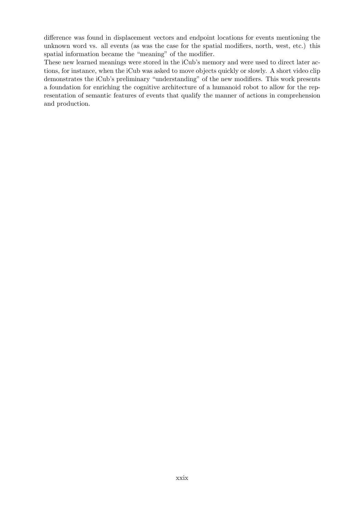difference was found in displacement vectors and endpoint locations for events mentioning the unknown word vs. all events (as was the case for the spatial modifiers, north, west, etc.) this spatial information became the "meaning" of the modifier.

These new learned meanings were stored in the iCub's memory and were used to direct later actions, for instance, when the iCub was asked to move objects quickly or slowly. A short video clip demonstrates the iCub's preliminary "understanding" of the new modifiers. This work presents a foundation for enriching the cognitive architecture of a humanoid robot to allow for the representation of semantic features of events that qualify the manner of actions in comprehension and production.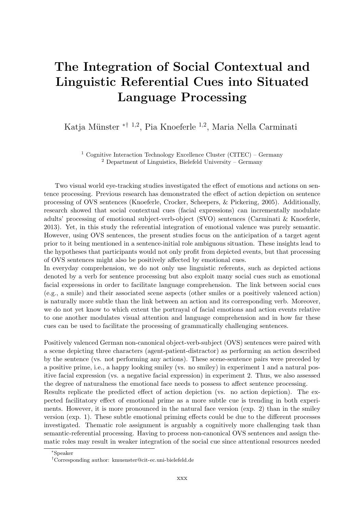### <span id="page-30-0"></span>The Integration of Social Contextual and Linguistic Referential Cues into Situated Language Processing

Katja Münster <sup>\*† 1,2</sup>, Pia Knoeferle <sup>1,2</sup>, Maria Nella Carminati

<sup>1</sup> Cognitive Interaction Technology Excellence Cluster (CITEC) – Germany <sup>2</sup> Department of Linguistics, Bielefeld University – Germany

Two visual world eye-tracking studies investigated the effect of emotions and actions on sentence processing. Previous research has demonstrated the effect of action depiction on sentence processing of OVS sentences (Knoeferle, Crocker, Scheepers, & Pickering, 2005). Additionally, research showed that social contextual cues (facial expressions) can incrementally modulate adults' processing of emotional subject-verb-object (SVO) sentences (Carminati & Knoeferle, 2013). Yet, in this study the referential integration of emotional valence was purely semantic. However, using OVS sentences, the present studies focus on the anticipation of a target agent prior to it being mentioned in a sentence-initial role ambiguous situation. These insights lead to the hypotheses that participants would not only profit from depicted events, but that processing of OVS sentences might also be positively affected by emotional cues.

In everyday comprehension, we do not only use linguistic referents, such as depicted actions denoted by a verb for sentence processing but also exploit many social cues such as emotional facial expressions in order to facilitate language comprehension. The link between social cues (e.g., a smile) and their associated scene aspects (other smiles or a positively valenced action) is naturally more subtle than the link between an action and its corresponding verb. Moreover, we do not yet know to which extent the portrayal of facial emotions and action events relative to one another modulates visual attention and language comprehension and in how far these cues can be used to facilitate the processing of grammatically challenging sentences.

Positively valenced German non-canonical object-verb-subject (OVS) sentences were paired with a scene depicting three characters (agent-patient-distractor) as performing an action described by the sentence (vs. not performing any actions). These scene-sentence pairs were preceded by a positive prime, i.e., a happy looking smiley (vs. no smiley) in experiment 1 and a natural positive facial expression (vs. a negative facial expression) in experiment 2. Thus, we also assessed the degree of naturalness the emotional face needs to possess to affect sentence processing.

Results replicate the predicted effect of action depiction (vs. no action depiction). The expected facilitatory effect of emotional prime as a more subtle cue is trending in both experiments. However, it is more pronounced in the natural face version (exp. 2) than in the smiley version (exp. 1). These subtle emotional priming effects could be due to the different processes investigated. Thematic role assignment is arguably a cognitively more challenging task than semantic-referential processing. Having to process non-canonical OVS sentences and assign thematic roles may result in weaker integration of the social cue since attentional resources needed

<sup>∗</sup>Speaker

<sup>†</sup>Corresponding author: [kmuenster@cit-ec.uni-bielefeld.de](mailto:kmuenster@cit-ec.uni-bielefeld.de)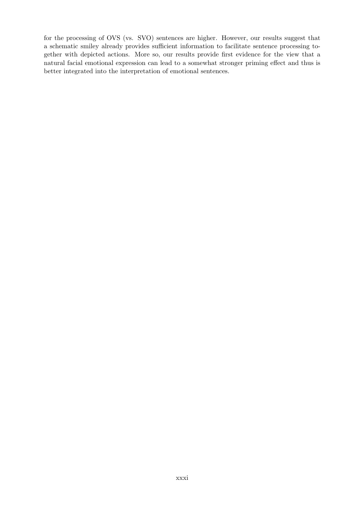for the processing of OVS (vs. SVO) sentences are higher. However, our results suggest that a schematic smiley already provides sufficient information to facilitate sentence processing together with depicted actions. More so, our results provide first evidence for the view that a natural facial emotional expression can lead to a somewhat stronger priming effect and thus is better integrated into the interpretation of emotional sentences.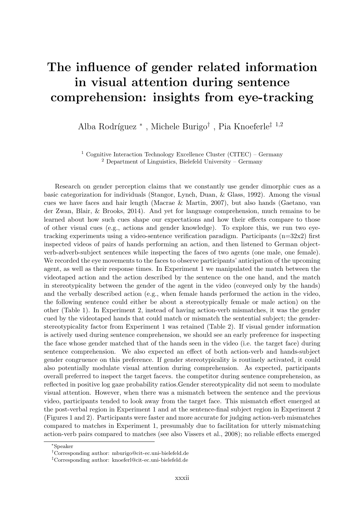#### <span id="page-32-0"></span>The influence of gender related information in visual attention during sentence comprehension: insights from eye-tracking

Alba Rodríguez<sup>\*</sup>, Michele Burigo<sup>†</sup>, Pia Knoeferle<sup>‡ 1,2</sup>

<sup>1</sup> Cognitive Interaction Technology Excellence Cluster (CITEC) – Germany  $2$  Department of Linguistics, Bielefeld University – Germany

Research on gender perception claims that we constantly use gender dimorphic cues as a basic categorization for individuals (Stangor, Lynch, Duan, & Glass, 1992). Among the visual cues we have faces and hair length (Macrae & Martin, 2007), but also hands (Gaetano, van der Zwan, Blair, & Brooks, 2014). And yet for language comprehension, much remains to be learned about how such cues shape our expectations and how their effects compare to those of other visual cues (e.g., actions and gender knowledge). To explore this, we run two eyetracking experiments using a video-sentence verification paradigm. Participants  $(n=32x2)$  first inspected videos of pairs of hands performing an action, and then listened to German objectverb-adverb-subject sentences while inspecting the faces of two agents (one male, one female). We recorded the eye movements to the faces to observe participants' anticipation of the upcoming agent, as well as their response times. In Experiment 1 we manipulated the match between the videotaped action and the action described by the sentence on the one hand, and the match in stereotypicality between the gender of the agent in the video (conveyed only by the hands) and the verbally described action (e.g., when female hands performed the action in the video, the following sentence could either be about a stereotypically female or male action) on the other (Table 1). In Experiment 2, instead of having action-verb mismatches, it was the gender cued by the videotaped hands that could match or mismatch the sentential subject; the genderstereotypicality factor from Experiment 1 was retained (Table 2). If visual gender information is actively used during sentence comprehension, we should see an early preference for inspecting the face whose gender matched that of the hands seen in the video (i.e. the target face) during sentence comprehension. We also expected an effect of both action-verb and hands-subject gender congruence on this preference. If gender stereotypicality is routinely activated, it could also potentially modulate visual attention during comprehension. As expected, participants overall preferred to inspect the target facevs. the competitor during sentence comprehension, as reflected in positive log gaze probability ratios.Gender stereotypicality did not seem to modulate visual attention. However, when there was a mismatch between the sentence and the previous video, participants tended to look away from the target face. This mismatch effect emerged at the post-verbal region in Experiment 1 and at the sentence-final subject region in Experiment 2 (Figures 1 and 2). Participants were faster and more accurate for judging action-verb mismatches compared to matches in Experiment 1, presumably due to facilitation for utterly mismatching action-verb pairs compared to matches (see also Vissers et al., 2008); no reliable effects emerged

<sup>∗</sup>Speaker

<sup>†</sup>Corresponding author: [mburigo@cit-ec.uni-bielefeld.de](mailto:mburigo@cit-ec.uni-bielefeld.de)

<sup>‡</sup>Corresponding author: [knoeferl@cit-ec.uni-bielefeld.de](mailto:knoeferl@cit-ec.uni-bielefeld.de)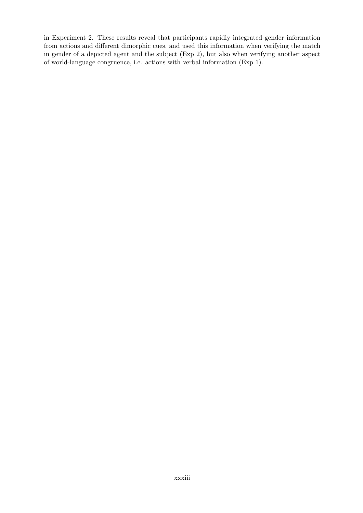in Experiment 2. These results reveal that participants rapidly integrated gender information from actions and different dimorphic cues, and used this information when verifying the match in gender of a depicted agent and the subject (Exp 2), but also when verifying another aspect of world-language congruence, i.e. actions with verbal information (Exp 1).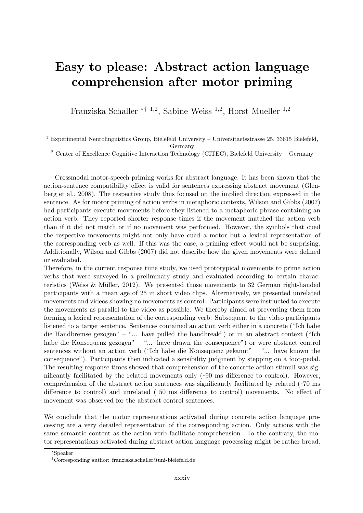#### <span id="page-34-0"></span>Easy to please: Abstract action language comprehension after motor priming

Franziska Schaller ∗† <sup>1</sup>,<sup>2</sup> , Sabine Weiss <sup>1</sup>,<sup>2</sup> , Horst Mueller <sup>1</sup>,<sup>2</sup>

<sup>1</sup> Experimental Neurolinguistics Group, Bielefeld University – Universitaetsstrasse 25, 33615 Bielefeld, Germany

<sup>2</sup> Center of Excellence Cognitive Interaction Technology (CITEC), Bielefeld University – Germany

Crossmodal motor-speech priming works for abstract language. It has been shown that the action-sentence compatibility effect is valid for sentences expressing abstract movement (Glenberg et al., 2008). The respective study thus focused on the implied direction expressed in the sentence. As for motor priming of action verbs in metaphoric contexts, Wilson and Gibbs (2007) had participants execute movements before they listened to a metaphoric phrase containing an action verb. They reported shorter response times if the movement matched the action verb than if it did not match or if no movement was performed. However, the symbols that cued the respective movements might not only have cued a motor but a lexical representation of the corresponding verb as well. If this was the case, a priming effect would not be surprising. Additionally, Wilson and Gibbs (2007) did not describe how the given movements were defined or evaluated.

Therefore, in the current response time study, we used prototypical movements to prime action verbs that were surveyed in a preliminary study and evaluated according to certain characteristics (Weiss  $\&$  Müller, 2012). We presented those movements to 32 German right-handed participants with a mean age of 25 in short video clips. Alternatively, we presented unrelated movements and videos showing no movements as control. Participants were instructed to execute the movements as parallel to the video as possible. We thereby aimed at preventing them from forming a lexical representation of the corresponding verb. Subsequent to the video participants listened to a target sentence. Sentences contained an action verb either in a concrete ("Ich habe die Handbremse gezogen" – "... have pulled the handbreak") or in an abstract context ("Ich habe die Konsequenz gezogen" – "... have drawn the consequence") or were abstract control sentences without an action verb ("Ich habe die Konsequenz gekannt" – "... have known the consequence"). Participants then indicated a sensibility judgment by stepping on a foot-pedal. The resulting response times showed that comprehension of the concrete action stimuli was significantly facilitated by the related movements only  $(-90 \text{ ms difference to control})$ . However, comprehension of the abstract action sentences was significantly facilitated by related  $($  $\cdot 70 \text{ ms}$ difference to control) and unrelated  $(50 \text{ ms}$  difference to control) movements. No effect of movement was observed for the abstract control sentences.

We conclude that the motor representations activated during concrete action language processing are a very detailed representation of the corresponding action. Only actions with the same semantic content as the action verb facilitate comprehension. To the contrary, the motor representations activated during abstract action language processing might be rather broad.

<sup>∗</sup>Speaker

<sup>†</sup>Corresponding author: [franziska.schaller@uni-bielefeld.de](mailto:franziska.schaller@uni-bielefeld.de)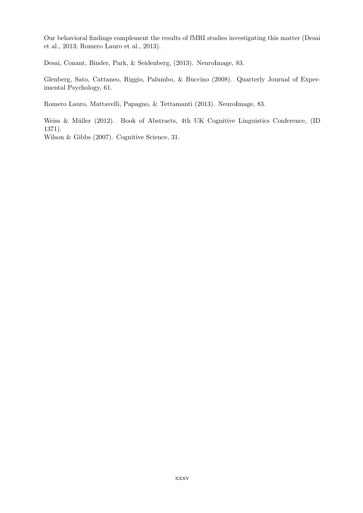Our behavioral findings complement the results of fMRI studies investigating this matter (Desai et al., 2013; Romero Lauro et al., 2013).

Desai, Conant, Binder, Park, & Seidenberg, (2013). NeuroImage, 83.

Glenberg, Sato, Cattaneo, Riggio, Palumbo, & Buccino (2008). Quarterly Journal of Experimental Psychology, 61.

Romero Lauro, Mattavelli, Papagno, & Tettamanti (2013). NeuroImage, 83.

Weiss & Müller (2012). Book of Abstracts, 4th UK Cognitive Linguistics Conference, (ID 1371).

Wilson & Gibbs (2007). Cognitive Science, 31.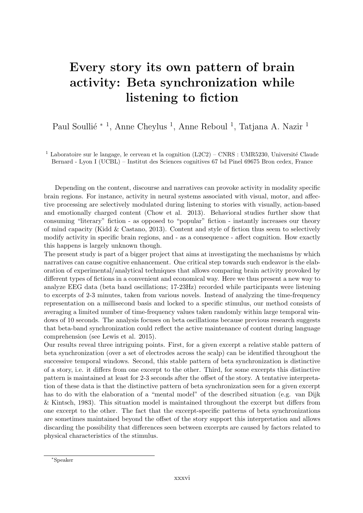### Every story its own pattern of brain activity: Beta synchronization while listening to fiction

Paul Soullié <sup>\* 1</sup>, Anne Cheylus <sup>1</sup>, Anne Reboul <sup>1</sup>, Tatjana A. Nazir <sup>1</sup>

<sup>1</sup> Laboratoire sur le langage, le cerveau et la cognition  $(L2C2)$  – CNRS : UMR5230, Université Claude Bernard - Lyon I (UCBL) – Institut des Sciences cognitives 67 bd Pinel 69675 Bron cedex, France

Depending on the content, discourse and narratives can provoke activity in modality specific brain regions. For instance, activity in neural systems associated with visual, motor, and affective processing are selectively modulated during listening to stories with visually, action-based and emotionally charged content (Chow et al. 2013). Behavioral studies further show that consuming "literary" fiction - as opposed to "popular" fiction - instantly increases our theory of mind capacity (Kidd  $& Castano, 2013$ ). Content and style of fiction thus seem to selectively modify activity in specific brain regions, and - as a consequence - affect cognition. How exactly this happens is largely unknown though.

The present study is part of a bigger project that aims at investigating the mechanisms by which narratives can cause cognitive enhancement. One critical step towards such endeavor is the elaboration of experimental/analytical techniques that allows comparing brain activity provoked by different types of fictions in a convenient and economical way. Here we thus present a new way to analyze EEG data (beta band oscillations; 17-23Hz) recorded while participants were listening to excerpts of 2-3 minutes, taken from various novels. Instead of analyzing the time-frequency representation on a millisecond basis and locked to a specific stimulus, our method consists of averaging a limited number of time-frequency values taken randomly within large temporal windows of 10 seconds. The analysis focuses on beta oscillations because previous research suggests that beta-band synchronization could reflect the active maintenance of content during language comprehension (see Lewis et al. 2015).

Our results reveal three intriguing points. First, for a given excerpt a relative stable pattern of beta synchronization (over a set of electrodes across the scalp) can be identified throughout the successive temporal windows. Second, this stable pattern of beta synchronization is distinctive of a story, i.e. it differs from one excerpt to the other. Third, for some excerpts this distinctive pattern is maintained at least for 2-3 seconds after the offset of the story. A tentative interpretation of these data is that the distinctive pattern of beta synchronization seen for a given excerpt has to do with the elaboration of a "mental model" of the described situation (e.g. van Dijk & Kintsch, 1983). This situation model is maintained throughout the excerpt but differs from one excerpt to the other. The fact that the excerpt-specific patterns of beta synchronizations are sometimes maintained beyond the offset of the story support this interpretation and allows discarding the possibility that differences seen between excerpts are caused by factors related to physical characteristics of the stimulus.

<sup>∗</sup>Speaker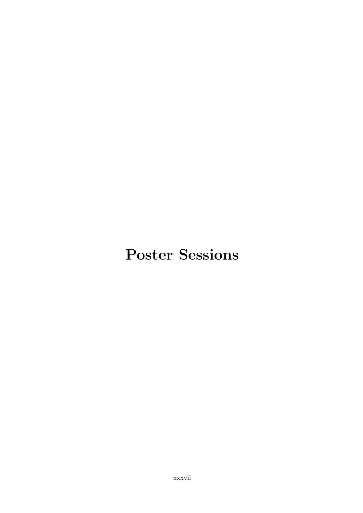# Poster Sessions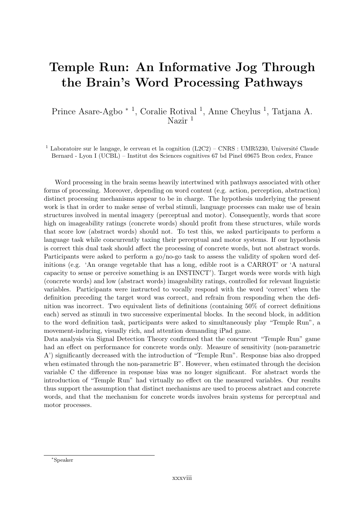### Temple Run: An Informative Jog Through the Brain's Word Processing Pathways

Prince Asare-Agbo <sup>∗ 1</sup>, Coralie Rotival<sup>1</sup>, Anne Cheylus<sup>1</sup>, Tatjana A. Nazir $1$ 

<sup>1</sup> Laboratoire sur le langage, le cerveau et la cognition  $(L2C2)$  – CNRS : UMR5230, Université Claude Bernard - Lyon I (UCBL) – Institut des Sciences cognitives 67 bd Pinel 69675 Bron cedex, France

Word processing in the brain seems heavily intertwined with pathways associated with other forms of processing. Moreover, depending on word content (e.g. action, perception, abstraction) distinct processing mechanisms appear to be in charge. The hypothesis underlying the present work is that in order to make sense of verbal stimuli, language processes can make use of brain structures involved in mental imagery (perceptual and motor). Consequently, words that score high on imageability ratings (concrete words) should profit from these structures, while words that score low (abstract words) should not. To test this, we asked participants to perform a language task while concurrently taxing their perceptual and motor systems. If our hypothesis is correct this dual task should affect the processing of concrete words, but not abstract words. Participants were asked to perform a go/no-go task to assess the validity of spoken word definitions (e.g. 'An orange vegetable that has a long, edible root is a CARROT' or 'A natural capacity to sense or perceive something is an INSTINCT'). Target words were words with high (concrete words) and low (abstract words) imageability ratings, controlled for relevant linguistic variables. Participants were instructed to vocally respond with the word 'correct' when the definition preceding the target word was correct, and refrain from responding when the definition was incorrect. Two equivalent lists of definitions (containing 50% of correct definitions each) served as stimuli in two successive experimental blocks. In the second block, in addition to the word definition task, participants were asked to simultaneously play "Temple Run", a movement-inducing, visually rich, and attention demanding iPad game.

Data analysis via Signal Detection Theory confirmed that the concurrent "Temple Run" game had an effect on performance for concrete words only. Measure of sensitivity (non-parametric A') significantly decreased with the introduction of "Temple Run". Response bias also dropped when estimated through the non-parametric B". However, when estimated through the decision variable C the difference in response bias was no longer significant. For abstract words the introduction of "Temple Run" had virtually no effect on the measured variables. Our results thus support the assumption that distinct mechanisms are used to process abstract and concrete words, and that the mechanism for concrete words involves brain systems for perceptual and motor processes.

<sup>∗</sup>Speaker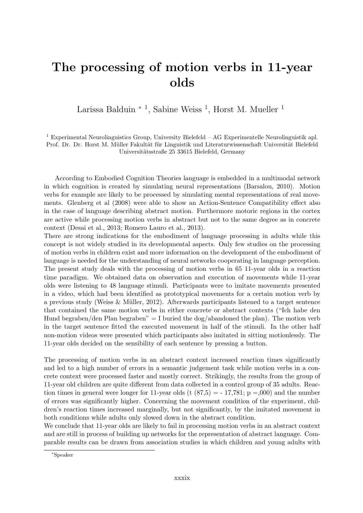### The processing of motion verbs in 11-year olds

Larissa Balduin <sup>\* 1</sup>, Sabine Weiss<sup>1</sup>, Horst M. Mueller<sup>1</sup>

<sup>1</sup> Experimental Neurolinguistics Group, University Bielefeld – AG Experimentelle Neurolinguistik apl. Prof. Dr. Dr. Horst M. Müller Fakultät für Linguistik und Literaturwissenschaft Universität Bielefeld Universitätsstraße 25 33615 Bielefeld, Germany

According to Embodied Cognition Theories language is embedded in a multimodal network in which cognition is created by simulating neural representations (Barsalou, 2010). Motion verbs for example are likely to be processed by simulating mental representations of real movements. Glenberg et al (2008) were able to show an Action-Sentence Compatibility effect also in the case of language describing abstract motion. Furthermore motoric regions in the cortex are active while processing motion verbs in abstract but not to the same degree as in concrete context (Desai et al., 2013; Romero Lauro et al., 2013).

There are strong indications for the embodiment of language processing in adults while this concept is not widely studied in its developmental aspects. Only few studies on the processing of motion verbs in children exist and more information on the development of the embodiment of language is needed for the understanding of neural networks cooperating in language perception. The present study deals with the processing of motion verbs in 65 11-year olds in a reaction time paradigm. We obtained data on observation and execution of movements while 11-year olds were listening to 48 language stimuli. Participants were to imitate movements presented in a video, which had been identified as prototypical movements for a certain motion verb by a previous study (Weiss  $\&$  Müller, 2012). Afterwards participants listened to a target sentence that contained the same motion verbs in either concrete or abstract contexts ("Ich habe den Hund begraben/den Plan begraben" = I buried the dog/abandoned the plan). The motion verb in the target sentence fitted the executed movement in half of the stimuli. In the other half non-motion videos were presented which participants also imitated in sitting motionlessly. The 11-year olds decided on the sensibility of each sentence by pressing a button.

The processing of motion verbs in an abstract context increased reaction times significantly and led to a high number of errors in a semantic judgement task while motion verbs in a concrete context were processed faster and mostly correct. Strikingly, the results from the group of 11-year old children are quite different from data collected in a control group of 35 adults. Reaction times in general were longer for 11-year olds (t  $(87,5) = -17,781$ ; p =,000) and the number of errors was significantly higher. Concerning the movement condition of the experiment, children's reaction times increased marginally, but not significantly, by the imitated movement in both conditions while adults only slowed down in the abstract condition.

We conclude that 11-year olds are likely to fail in processing motion verbs in an abstract context and are still in process of building up networks for the representation of abstract language. Comparable results can be drawn from association studies in which children and young adults with

<sup>∗</sup>Speaker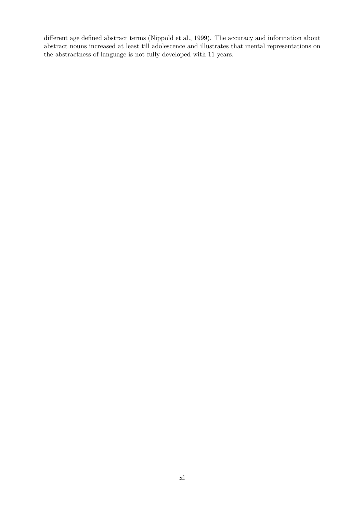different age defined abstract terms (Nippold et al., 1999). The accuracy and information about abstract nouns increased at least till adolescence and illustrates that mental representations on the abstractness of language is not fully developed with 11 years.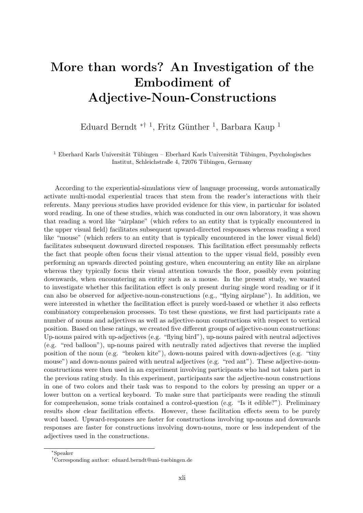### More than words? An Investigation of the Embodiment of Adjective-Noun-Constructions

Eduard Berndt <sup>\*† 1</sup>, Fritz Günther <sup>1</sup>, Barbara Kaup <sup>1</sup>

 $1$  Eberhard Karls Universität Tübingen – Eberhard Karls Universität Tübingen, Psychologisches Institut, Schleichstraße 4, 72076 Tübingen, Germany

According to the experiential-simulations view of language processing, words automatically activate multi-modal experiential traces that stem from the reader's interactions with their referents. Many previous studies have provided evidence for this view, in particular for isolated word reading. In one of these studies, which was conducted in our own laboratory, it was shown that reading a word like "airplane" (which refers to an entity that is typically encountered in the upper visual field) facilitates subsequent upward-directed responses whereas reading a word like "mouse" (which refers to an entity that is typically encountered in the lower visual field) facilitates subsequent downward directed responses. This facilitation effect presumably reflects the fact that people often focus their visual attention to the upper visual field, possibly even performing an upwards directed pointing gesture, when encountering an entity like an airplane whereas they typically focus their visual attention towards the floor, possibly even pointing downwards, when encountering an entity such as a mouse. In the present study, we wanted to investigate whether this facilitation effect is only present during single word reading or if it can also be observed for adjective-noun-constructions (e.g., "flying airplane"). In addition, we were interested in whether the facilitation effect is purely word-based or whether it also reflects combinatory comprehension processes. To test these questions, we first had participants rate a number of nouns and adjectives as well as adjective-noun constructions with respect to vertical position. Based on these ratings, we created five different groups of adjective-noun constructions: Up-nouns paired with up-adjectives (e.g. "flying bird"), up-nouns paired with neutral adjectives (e.g. "red balloon"), up-nouns paired with neutrally rated adjectives that reverse the implied position of the noun (e.g. "broken kite"), down-nouns paired with down-adjectives (e.g. "tiny mouse") and down-nouns paired with neutral adjectives (e.g. "red ant"). These adjective-nounconstructions were then used in an experiment involving participants who had not taken part in the previous rating study. In this experiment, participants saw the adjective-noun constructions in one of two colors and their task was to respond to the colors by pressing an upper or a lower button on a vertical keyboard. To make sure that participants were reading the stimuli for comprehension, some trials contained a control-question (e.g. "Is it edible?"). Preliminary results show clear facilitation effects. However, these facilitation effects seem to be purely word based. Upward-responses are faster for constructions involving up-nouns and downwards responses are faster for constructions involving down-nouns, more or less independent of the adjectives used in the constructions.

<sup>∗</sup>Speaker

<sup>†</sup>Corresponding author: [eduard.berndt@uni-tuebingen.de](mailto:eduard.berndt@uni-tuebingen.de)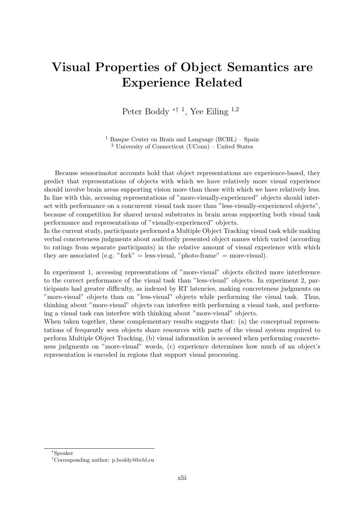### Visual Properties of Object Semantics are Experience Related

Peter Boddy <sup>\*† 1</sup>, Yee Eiling <sup>1,2</sup>

<sup>1</sup> Basque Center on Brain and Language  $(BCBL)$  – Spain <sup>2</sup> University of Connecticut (UConn) – United States

Because sensorimotor accounts hold that object representations are experience-based, they predict that representations of objects with which we have relatively more visual experience should involve brain areas supporting vision more than those with which we have relatively less. In line with this, accessing representations of "more-visually-experienced" objects should interact with performance on a concurrent visual task more than "less-visually-experienced objects", because of competition for shared neural substrates in brain areas supporting both visual task performance and representations of "visually-experienced" objects.

In the current study, participants performed a Multiple Object Tracking visual task while making verbal concreteness judgments about auditorily presented object names which varied (according to ratings from separate participants) in the relative amount of visual experience with which they are associated (e.g. "fork" = less-visual, "photo-frame" = more-visual).

In experiment 1, accessing representations of "more-visual" objects elicited more interference to the correct performance of the visual task than "less-visual" objects. In experiment 2, participants had greater difficulty, as indexed by RT latencies, making concreteness judgments on "more-visual" objects than on "less-visual" objects while performing the visual task. Thus, thinking about "more-visual" objects can interfere with performing a visual task, and performing a visual task can interfere with thinking about "more-visual" objects.

When taken together, these complementary results suggests that: (a) the conceptual representations of frequently seen objects share resources with parts of the visual system required to perform Multiple Object Tracking, (b) visual information is accessed when performing concreteness judgments on "more-visual" words, (c) experience determines how much of an object's representation is encoded in regions that support visual processing.

<sup>∗</sup>Speaker

<sup>†</sup>Corresponding author: [p.boddy@bcbl.eu](mailto:p.boddy@bcbl.eu)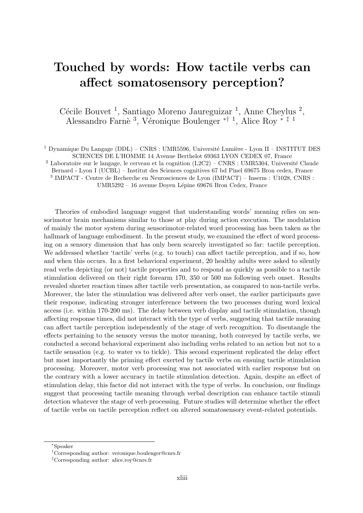### <span id="page-43-0"></span>Touched by words: How tactile verbs can affect somatosensory perception?

Cécile Bouvet<sup>1</sup>, Santiago Moreno Jaureguizar<sup>1</sup>, Anne Cheylus<sup>2</sup>, Alessandro Farnè <sup>3</sup>, Véronique Boulenger <sup>\*† 1</sup>, Alice Roy <sup>\* ‡ 1</sup>

<sup>1</sup> Dynamique Du Langage (DDL) – CNRS : UMR5596, Université Lumière - Lyon II – INSTITUT DES SCIENCES DE L'HOMME 14 Avenue Berthelot 69363 LYON CEDEX 07, France

 $2$  Laboratoire sur le langage, le cerveau et la cognition (L2C2) – CNRS : UMR5304, Université Claude Bernard - Lyon I (UCBL) – Institut des Sciences cognitives 67 bd Pinel 69675 Bron cedex, France

3 IMPACT - Centre de Recherche en Neurosciences de Lyon (IMPACT) – Inserm : U1028, CNRS :

UMR5292 – 16 avenue Doyen Lépine 69676 Bron Cedex, France

Theories of embodied language suggest that understanding words' meaning relies on sensorimotor brain mechanisms similar to those at play during action execution. The modulation of mainly the motor system during sensorimotor-related word processing has been taken as the hallmark of language embodiment. In the present study, we examined the effect of word processing on a sensory dimension that has only been scarcely investigated so far: tactile perception. We addressed whether 'tactile' verbs (e.g. to touch) can affect tactile perception, and if so, how and when this occurs. In a first behavioral experiment, 20 healthy adults were asked to silently read verbs depicting (or not) tactile properties and to respond as quickly as possible to a tactile stimulation delivered on their right forearm 170, 350 or 500 ms following verb onset. Results revealed shorter reaction times after tactile verb presentation, as compared to non-tactile verbs. Moreover, the later the stimulation was delivered after verb onset, the earlier participants gave their response, indicating stronger interference between the two processes during word lexical access (i.e. within 170-200 ms). The delay between verb display and tactile stimulation, though affecting response times, did not interact with the type of verbs, suggesting that tactile meaning can affect tactile perception independently of the stage of verb recognition. To disentangle the effects pertaining to the sensory versus the motor meaning, both conveyed by tactile verbs, we conducted a second behavioral experiment also including verbs related to an action but not to a tactile sensation (e.g. to water vs to tickle). This second experiment replicated the delay effect but most importantly the priming effect exerted by tactile verbs on ensuing tactile stimulation processing. Moreover, motor verb processing was not associated with earlier response but on the contrary with a lower accuracy in tactile stimulation detection. Again, despite an effect of stimulation delay, this factor did not interact with the type of verbs. In conclusion, our findings suggest that processing tactile meaning through verbal description can enhance tactile stimuli detection whatever the stage of verb processing. Future studies will determine whether the effect of tactile verbs on tactile perception reflect on altered somatosensory event-related potentials.

<sup>∗</sup>Speaker

<sup>†</sup>Corresponding author: [veronique.boulenger@cnrs.fr](mailto:veronique.boulenger@cnrs.fr)

<sup>‡</sup>Corresponding author: [alice.roy@cnrs.fr](mailto:alice.roy@cnrs.fr)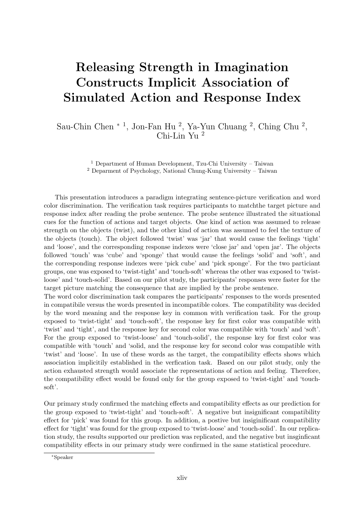### Releasing Strength in Imagination Constructs Implicit Association of Simulated Action and Response Index

Sau-Chin Chen <sup>\* 1</sup>, Jon-Fan Hu<sup>2</sup>, Ya-Yun Chuang<sup>2</sup>, Ching Chu<sup>2</sup>, Chi-Lin Yu <sup>2</sup>

> <sup>1</sup> Department of Human Development, Tzu-Chi University – Taiwan <sup>2</sup> Deparment of Psychology, National Chung-Kung University – Taiwan

This presentation introduces a paradigm integrating sentence-picture verification and word color discrimination. The verification task requires participants to matchthe target picture and response index after reading the probe sentence. The probe sentence illustrated the situational cues for the function of actions and target objects. One kind of action was assumed to release strength on the objects (twist), and the other kind of action was assumed to feel the texture of the objects (touch). The object followed 'twist' was 'jar' that would cause the feelings 'tight' and 'loose', and the corresponding response indexes were 'close jar' and 'open jar'. The objects followed 'touch' was 'cube' and 'sponge' that would cause the feelings 'solid' and 'soft', and the corresponding response indexes were 'pick cube' and 'pick sponge'. For the two particiant groups, one was exposed to 'twist-tight' and 'touch-soft' whereas the other was exposed to 'twistloose' and 'touch-solid'. Based on our pilot study, the participants' responses were faster for the target picture matching the consequence that are implied by the probe sentence.

The word color discrimination task compares the participants' responses to the words presented in compatibile versus the words presented in incompatible colors. The compatibility was decided by the word meaning and the response key in common with verification task. For the group exposed to 'twist-tight' and 'touch-soft', the response key for first color was compatible with 'twist' and 'tight', and the response key for second color was compatible with 'touch' and 'soft'. For the group exposed to 'twist-loose' and 'touch-solid', the response key for first color was compatible with 'touch' and 'solid, and the response key for second color was compatible with 'twist' and 'loose'. In use of these words as the target, the compatibility effects shows which association implicitily established in the verfication task. Based on our pilot study, only the action exhausted strength would associate the representations of action and feeling. Therefore, the compatibility effect would be found only for the group exposed to 'twist-tight' and 'touchsoft'.

Our primary study confirmed the matching effects and compatibility effects as our prediction for the group exposed to 'twist-tight' and 'touch-soft'. A negative but insignificant compatibility effect for 'pick' was found for this group. In addition, a postive but insiginificant compatibility effect for 'tight' was found for the group exposed to 'twist-loose' and 'touch-solid'. In our replication study, the results supported our prediction was replicated, and the negative but insginficant compatibility effects in our primary study were confirmed in the same statistical procedure.

<sup>∗</sup>Speaker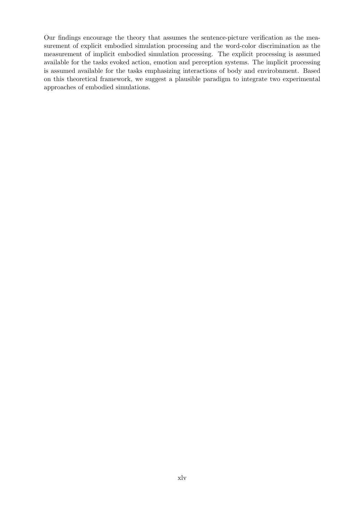Our findings encourage the theory that assumes the sentence-picture verification as the measurement of explicit embodied simulation processing and the word-color discrimination as the measurement of implicit embodied simulation processing. The explicit processing is assumed available for the tasks evoked action, emotion and perception systems. The implicit processing is assumed available for the tasks emphasizing interactions of body and envirobnment. Based on this theoretical framework, we suggest a plausible paradigm to integrate two experimental approaches of embodied simulations.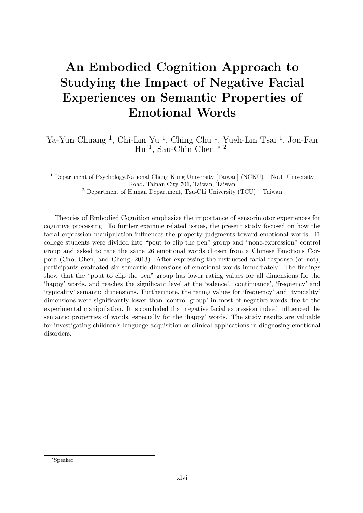### An Embodied Cognition Approach to Studying the Impact of Negative Facial Experiences on Semantic Properties of Emotional Words

Ya-Yun Chuang<sup>1</sup>, Chi-Lin Yu<sup>1</sup>, Ching Chu<sup>1</sup>, Yueh-Lin Tsai<sup>1</sup>, Jon-Fan Hu<sup>1</sup>, Sau-Chin Chen  $*$ <sup>2</sup>

<sup>1</sup> Department of Psychology,National Cheng Kung University [Taiwan] (NCKU) – No.1, University Road, Tainan City 701, Taiwan, Taiwan

<sup>2</sup> Department of Human Department, Tzu-Chi University  $(TCU)$  – Taiwan

Theories of Embodied Cognition emphasize the importance of sensorimotor experiences for cognitive processing. To further examine related issues, the present study focused on how the facial expression manipulation influences the property judgments toward emotional words. 41 college students were divided into "pout to clip the pen" group and "none-expression" control group and asked to rate the same 26 emotional words chosen from a Chinese Emotions Corpora (Cho, Chen, and Cheng, 2013). After expressing the instructed facial response (or not), participants evaluated six semantic dimensions of emotional words immediately. The findings show that the "pout to clip the pen" group has lower rating values for all dimensions for the 'happy' words, and reaches the significant level at the 'valence', 'continuance', 'frequency' and 'typicality' semantic dimensions. Furthermore, the rating values for 'frequency' and 'typicality' dimensions were significantly lower than 'control group' in most of negative words due to the experimental manipulation. It is concluded that negative facial expression indeed influenced the semantic properties of words, especially for the 'happy' words. The study results are valuable for investigating children's language acquisition or clinical applications in diagnosing emotional disorders.

<sup>∗</sup>Speaker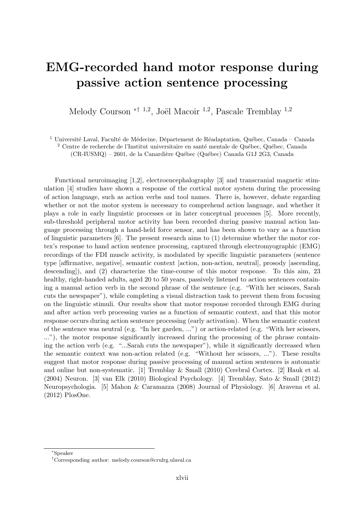### EMG-recorded hand motor response during passive action sentence processing

Melody Courson <sup>\*† 1,2</sup>, Joël Macoir <sup>1,2</sup>, Pascale Tremblay <sup>1,2</sup>

<sup>1</sup> Université Laval, Faculté de Médecine, Département de Réadaptation, Québec, Canada – Canada

 $^2$  Centre de recherche de l'Institut universitaire en santé mentale de Québec, Québec, Canada (CR-IUSMQ) – 2601, de la Canardière Québec (Québec) Canada G1J 2G3, Canada

Functional neuroimaging [1,2], electroencephalography [3] and transcranial magnetic stimulation [4] studies have shown a response of the cortical motor system during the processing of action language, such as action verbs and tool names. There is, however, debate regarding whether or not the motor system is necessary to comprehend action language, and whether it plays a role in early linguistic processes or in later conceptual processes [5]. More recently, sub-threshold peripheral motor activity has been recorded during passive manual action language processing through a hand-held force sensor, and has been shown to vary as a function of linguistic parameters [6]. The present research aims to (1) determine whether the motor cortex's response to hand action sentence processing, captured through electromyographic (EMG) recordings of the FDI muscle activity, is modulated by specific linguistic parameters (sentence type [affirmative, negative], semantic context [action, non-action, neutral], prosody [ascending, descending]), and (2) characterize the time-course of this motor response. To this aim, 23 healthy, right-handed adults, aged 20 to 50 years, passively listened to action sentences containing a manual action verb in the second phrase of the sentence (e.g. "With her scissors, Sarah cuts the newspaper"), while completing a visual distraction task to prevent them from focusing on the linguistic stimuli. Our results show that motor response recorded through EMG during and after action verb processing varies as a function of semantic context, and that this motor response occurs during action sentence processing (early activation). When the semantic context of the sentence was neutral (e.g. "In her garden, ...") or action-related (e.g. "With her scissors, ..."), the motor response significantly increased during the processing of the phrase containing the action verb (e.g. "...Sarah cuts the newspaper"), while it significantly decreased when the semantic context was non-action related (e.g. "Without her scissors, ..."). These results suggest that motor response during passive processing of manual action sentences is automatic and online but non-systematic. [1] Tremblay & Small (2010) Cerebral Cortex. [2] Hauk et al. (2004) Neuron. [3] van Elk (2010) Biological Psychology. [4] Tremblay, Sato & Small (2012) Neuropsychologia. [5] Mahon & Caramazza (2008) Journal of Physiology. [6] Aravena et al. (2012) PlosOne.

<sup>∗</sup>Speaker

<sup>†</sup>Corresponding author: [melody.courson@crulrg.ulaval.ca](mailto:melody.courson@crulrg.ulaval.ca)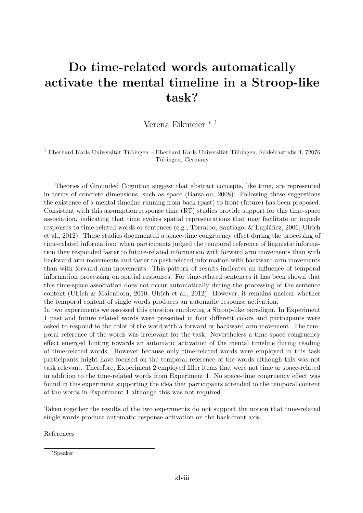### Do time-related words automatically activate the mental timeline in a Stroop-like task?

Verena Eikmeier <sup>∗</sup> <sup>1</sup>

<sup>1</sup> Eberhard Karls Universität Tübingen – Eberhard Karls Universität Tübingen, Schleichstraße 4, 72076 Tübingen, Germany

Theories of Grounded Cognition suggest that abstract concepts, like time, are represented in terms of concrete dimensions, such as space (Barsalou, 2008). Following these suggestions the existence of a mental timeline running from back (past) to front (future) has been proposed. Consistent with this assumption response time (RT) studies provide support for this time-space association, indicating that time evokes spatial representations that may facilitate or impede responses to time-related words or sentences (e.g., Torralbo, Santiago, & Lupiáñez, 2006; Ulrich et al., 2012). These studies documented a space-time congruency effect during the processing of time-related information: when participants judged the temporal reference of linguistic information they responded faster to future-related information with forward arm movements than with backward arm movements and faster to past-related information with backward arm movements than with forward arm movements. This pattern of results indicates an influence of temporal information processing on spatial responses. For time-related sentences it has been shown that this time-space association does not occur automatically during the processing of the sentence content (Ulrich & Maienborn, 2010; Ulrich et al., 2012). However, it remains unclear whether the temporal content of single words produces an automatic response activation.

In two experiments we assessed this question employing a Stroop-like paradigm. In Experiment 1 past and future related words were presented in four different colors and participants were asked to respond to the color of the word with a forward or backward arm movement. The temporal reference of the words was irrelevant for the task. Nevertheless a time-space congruency effect emerged hinting towards an automatic activation of the mental timeline during reading of time-related words. However because only time-related words were employed in this task participants might have focused on the temporal reference of the words although this was not task relevant. Therefore, Experiment 2 employed filler items that were not time or space-related in addition to the time-related words from Experiment 1. No space-time congruency effect was found in this experiment supporting the idea that participants attended to the temporal content of the words in Experiment 1 although this was not required.

Taken together the results of the two experiments do not support the notion that time-related single words produce automatic response activation on the back-front axis.

References

<sup>∗</sup>Speaker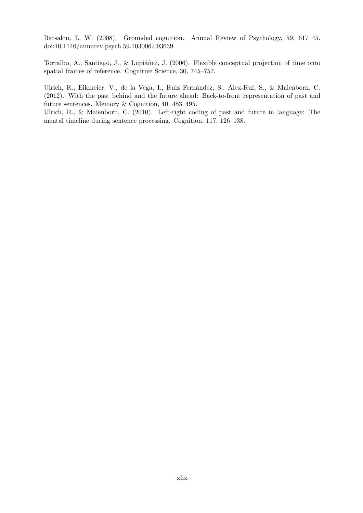Barsalou, L. W. (2008). Grounded cognition. Annual Review of Psychology, 59, 617–45. doi:10.1146/annurev.psych.59.103006.093639

Torralbo, A., Santiago, J., & Lupiáñez, J. (2006). Flexible conceptual projection of time onto spatial frames of reference. Cognitive Science, 30, 745–757.

Ulrich, R., Eikmeier, V., de la Vega, I., Ruiz Fernández, S., Alex-Ruf, S., & Maienborn, C. (2012). With the past behind and the future ahead: Back-to-front representation of past and future sentences. Memory & Cognition, 40, 483–495.

Ulrich, R., & Maienborn, C. (2010). Left-right coding of past and future in language: The mental timeline during sentence processing. Cognition, 117, 126–138.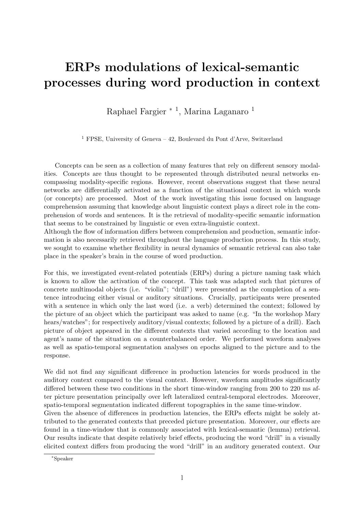### ERPs modulations of lexical-semantic processes during word production in context

Raphael Fargier <sup>\* 1</sup>, Marina Laganaro <sup>1</sup>

<sup>1</sup> FPSE, University of Geneva – 42, Boulevard du Pont d'Arve, Switzerland

Concepts can be seen as a collection of many features that rely on different sensory modalities. Concepts are thus thought to be represented through distributed neural networks encompassing modality-specific regions. However, recent observations suggest that these neural networks are differentially activated as a function of the situational context in which words (or concepts) are processed. Most of the work investigating this issue focused on language comprehension assuming that knowledge about linguistic context plays a direct role in the comprehension of words and sentences. It is the retrieval of modality-specific semantic information that seems to be constrained by linguistic or even extra-linguistic context.

Although the flow of information differs between comprehension and production, semantic information is also necessarily retrieved throughout the language production process. In this study, we sought to examine whether flexibility in neural dynamics of semantic retrieval can also take place in the speaker's brain in the course of word production.

For this, we investigated event-related potentials (ERPs) during a picture naming task which is known to allow the activation of the concept. This task was adapted such that pictures of concrete multimodal objects (i.e. "violin"; "drill") were presented as the completion of a sentence introducing either visual or auditory situations. Crucially, participants were presented with a sentence in which only the last word (i.e. a verb) determined the context; followed by the picture of an object which the participant was asked to name (e.g. "In the workshop Mary hears/watches"; for respectively auditory/visual contexts; followed by a picture of a drill). Each picture of object appeared in the different contexts that varied according to the location and agent's name of the situation on a counterbalanced order. We performed waveform analyses as well as spatio-temporal segmentation analyses on epochs aligned to the picture and to the response.

We did not find any significant difference in production latencies for words produced in the auditory context compared to the visual context. However, waveform amplitudes significantly differed between these two conditions in the short time-window ranging from 200 to 220 ms after picture presentation principally over left lateralized central-temporal electrodes. Moreover, spatio-temporal segmentation indicated different topographies in the same time-window.

Given the absence of differences in production latencies, the ERPs effects might be solely attributed to the generated contexts that preceded picture presentation. Moreover, our effects are found in a time-window that is commonly associated with lexical-semantic (lemma) retrieval. Our results indicate that despite relatively brief effects, producing the word "drill" in a visually elicited context differs from producing the word "drill" in an auditory generated context. Our

<sup>∗</sup>Speaker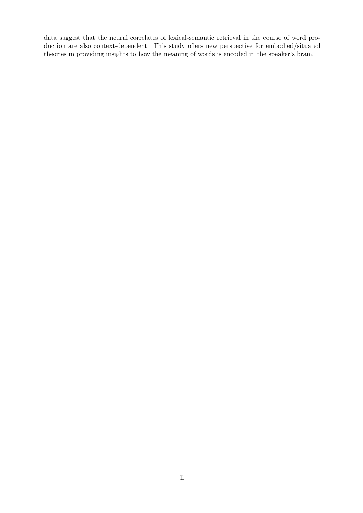data suggest that the neural correlates of lexical-semantic retrieval in the course of word production are also context-dependent. This study offers new perspective for embodied/situated theories in providing insights to how the meaning of words is encoded in the speaker's brain.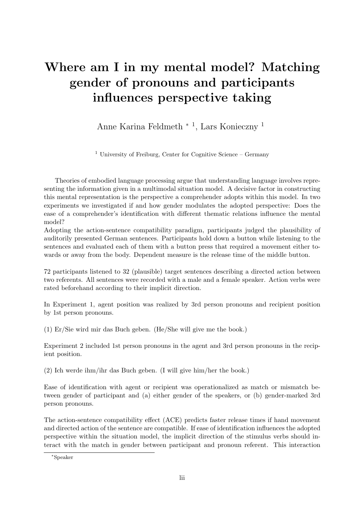### Where am I in my mental model? Matching gender of pronouns and participants influences perspective taking

Anne Karina Feldmeth <sup>∗</sup> <sup>1</sup> , Lars Konieczny <sup>1</sup>

<sup>1</sup> University of Freiburg, Center for Cognitive Science – Germany

Theories of embodied language processing argue that understanding language involves representing the information given in a multimodal situation model. A decisive factor in constructing this mental representation is the perspective a comprehender adopts within this model. In two experiments we investigated if and how gender modulates the adopted perspective: Does the ease of a comprehender's identification with different thematic relations influence the mental model?

Adopting the action-sentence compatibility paradigm, participants judged the plausibility of auditorily presented German sentences. Participants hold down a button while listening to the sentences and evaluated each of them with a button press that required a movement either towards or away from the body. Dependent measure is the release time of the middle button.

72 participants listened to 32 (plausible) target sentences describing a directed action between two referents. All sentences were recorded with a male and a female speaker. Action verbs were rated beforehand according to their implicit direction.

In Experiment 1, agent position was realized by 3rd person pronouns and recipient position by 1st person pronouns.

(1) Er/Sie wird mir das Buch geben. (He/She will give me the book.)

Experiment 2 included 1st person pronouns in the agent and 3rd person pronouns in the recipient position.

(2) Ich werde ihm/ihr das Buch geben. (I will give him/her the book.)

Ease of identification with agent or recipient was operationalized as match or mismatch between gender of participant and (a) either gender of the speakers, or (b) gender-marked 3rd person pronouns.

The action-sentence compatibility effect (ACE) predicts faster release times if hand movement and directed action of the sentence are compatible. If ease of identification influences the adopted perspective within the situation model, the implicit direction of the stimulus verbs should interact with the match in gender between participant and pronoun referent. This interaction

<sup>∗</sup>Speaker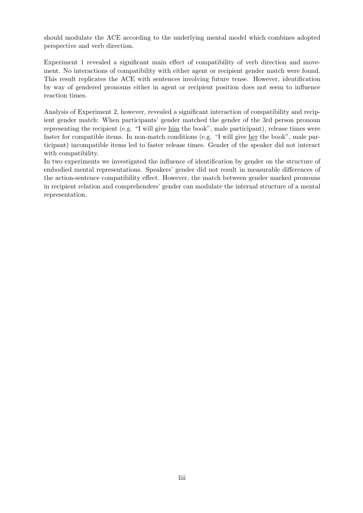should modulate the ACE according to the underlying mental model which combines adopted perspective and verb direction.

Experiment 1 revealed a significant main effect of compatibility of verb direction and movement. No interactions of compatibility with either agent or recipient gender match were found. This result replicates the ACE with sentences involving future tense. However, identification by way of gendered pronouns either in agent or recipient position does not seem to influence reaction times.

Analysis of Experiment 2, however, revealed a significant interaction of compatibility and recipient gender match: When participants' gender matched the gender of the 3rd person pronoun representing the recipient (e.g. "I will give him the book", male participant), release times were faster for compatible items. In non-match conditions (e.g. "I will give her the book", male participant) incompatible items led to faster release times. Gender of the speaker did not interact with compatibility.

In two experiments we investigated the influence of identification by gender on the structure of embodied mental representations. Speakers' gender did not result in measurable differences of the action-sentence compatibility effect. However, the match between gender marked pronouns in recipient relation and comprehenders' gender can modulate the internal structure of a mental representation.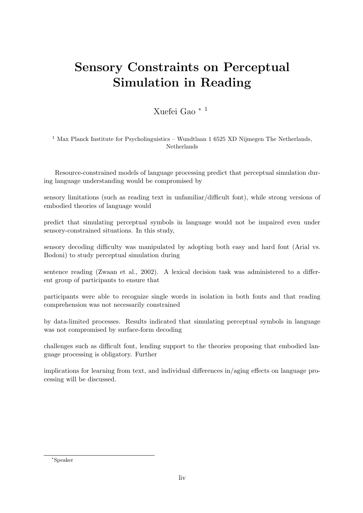## Sensory Constraints on Perceptual Simulation in Reading

### Xuefei Gao <sup>∗</sup> <sup>1</sup>

 $1$  Max Planck Institute for Psycholinguistics – Wundtlaan 1 6525 XD Nijmegen The Netherlands, Netherlands

Resource-constrained models of language processing predict that perceptual simulation during language understanding would be compromised by

sensory limitations (such as reading text in unfamiliar/difficult font), while strong versions of embodied theories of language would

predict that simulating perceptual symbols in language would not be impaired even under sensory-constrained situations. In this study,

sensory decoding difficulty was manipulated by adopting both easy and hard font (Arial vs. Bodoni) to study perceptual simulation during

sentence reading (Zwaan et al., 2002). A lexical decision task was administered to a different group of participants to ensure that

participants were able to recognize single words in isolation in both fonts and that reading comprehension was not necessarily constrained

by data-limited processes. Results indicated that simulating perceptual symbols in language was not compromised by surface-form decoding

challenges such as difficult font, lending support to the theories proposing that embodied language processing is obligatory. Further

implications for learning from text, and individual differences in/aging effects on language processing will be discussed.

<sup>∗</sup>Speaker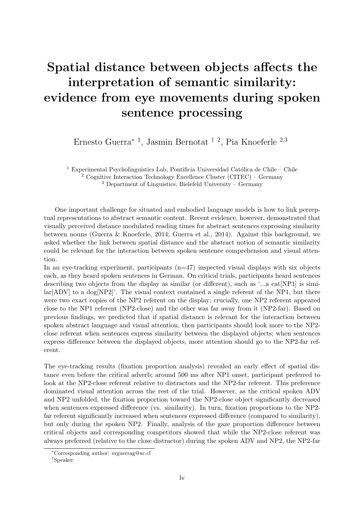## Spatial distance between objects affects the interpretation of semantic similarity: evidence from eye movements during spoken sentence processing

Ernesto Guerra<sup>∗</sup> <sup>1</sup> , Jasmin Bernotat † <sup>2</sup> , Pia Knoeferle <sup>2</sup>,<sup>3</sup>

 $^1$  Experimental Psycholinguistics Lab, Pontificia Universidad Católica de Chile – Chile <sup>2</sup> Cognitive Interaction Technology Excellence Cluster (CITEC) – Germany <sup>3</sup> Department of Linguistics, Bielefeld University – Germany

One important challenge for situated and embodied language models is how to link perceptual representations to abstract semantic content. Recent evidence, however, demonstrated that visually perceived distance modulated reading times for abstract sentences expressing similarity between nouns (Guerra & Knoeferle, 2014; Guerra et al., 2014). Against this background, we asked whether the link between spatial distance and the abstract notion of semantic similarity could be relevant for the interaction between spoken sentence comprehension and visual attention.

In an eye-tracking experiment, participants  $(n=47)$  inspected visual displays with six objects each, as they heard spoken sentences in German. On critical trials, participants heard sentences describing two objects from the display as similar (or different), such as '...a cat[NP1] is simi- $\text{lar}[\text{ADV}]$  to a dog  $[\text{NP2}]$ . The visual context contained a single referent of the NP1, but there were two exact copies of the NP2 referent on the display; crucially, one NP2 referent appeared close to the NP1 referent (NP2-close) and the other was far away from it (NP2-far). Based on previous findings, we predicted that if spatial distance is relevant for the interaction between spoken abstract language and visual attention, then participants should look more to the NP2 close referent when sentences express similarity between the displayed objects; when sentences express difference between the displayed objects, more attention should go to the NP2-far referent.

The eye-tracking results (fixation proportion analysis) revealed an early effect of spatial distance even before the critical adverb; around 500 ms after NP1 onset, participant preferred to look at the NP2-close referent relative to distractors and the NP2-far referent. This preference dominated visual attention across the rest of the trial. However, as the critical spoken ADV and NP2 unfolded, the fixation proportion toward the NP2-close object significantly decreased when sentences expressed difference (vs. similarity). In turn, fixation proportions to the NP2 far referent significantly increased when sentences expressed difference (compared to similarity), but only during the spoken NP2. Finally, analysis of the gaze proportion difference between critical objects and corresponding competitors showed that while the NP2-close referent was always preferred (relative to the close distractor) during the spoken ADV and NP2, the NP2-far

<sup>∗</sup>Corresponding author: [erguerrag@uc.cl](mailto:erguerrag@uc.cl)

<sup>†</sup>Speaker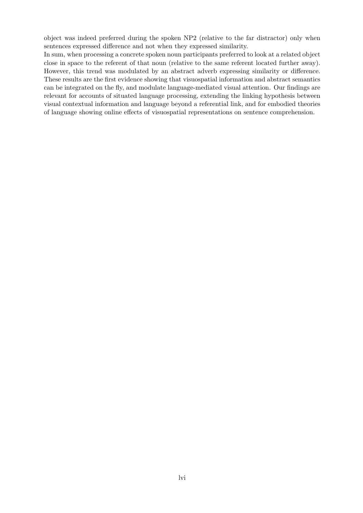object was indeed preferred during the spoken NP2 (relative to the far distractor) only when sentences expressed difference and not when they expressed similarity.

In sum, when processing a concrete spoken noun participants preferred to look at a related object close in space to the referent of that noun (relative to the same referent located further away). However, this trend was modulated by an abstract adverb expressing similarity or difference. These results are the first evidence showing that visuospatial information and abstract semantics can be integrated on the fly, and modulate language-mediated visual attention. Our findings are relevant for accounts of situated language processing, extending the linking hypothesis between visual contextual information and language beyond a referential link, and for embodied theories of language showing online effects of visuospatial representations on sentence comprehension.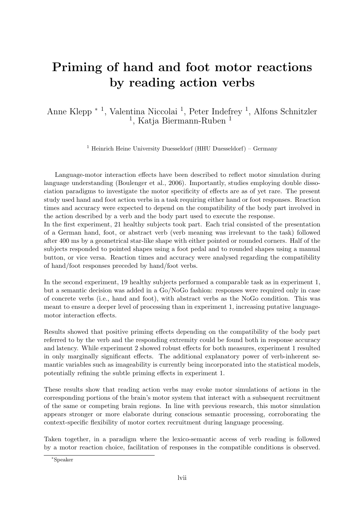### Priming of hand and foot motor reactions by reading action verbs

Anne Klepp <sup>∗</sup> <sup>1</sup> , Valentina Niccolai <sup>1</sup> , Peter Indefrey <sup>1</sup> , Alfons Schnitzler <sup>1</sup>, Katja Biermann-Ruben<sup>1</sup>

<sup>1</sup> Heinrich Heine University Duesseldorf (HHU Duesseldorf) – Germany

Language-motor interaction effects have been described to reflect motor simulation during language understanding (Boulenger et al., 2006). Importantly, studies employing double dissociation paradigms to investigate the motor specificity of effects are as of yet rare. The present study used hand and foot action verbs in a task requiring either hand or foot responses. Reaction times and accuracy were expected to depend on the compatibility of the body part involved in the action described by a verb and the body part used to execute the response.

In the first experiment, 21 healthy subjects took part. Each trial consisted of the presentation of a German hand, foot, or abstract verb (verb meaning was irrelevant to the task) followed after 400 ms by a geometrical star-like shape with either pointed or rounded corners. Half of the subjects responded to pointed shapes using a foot pedal and to rounded shapes using a manual button, or vice versa. Reaction times and accuracy were analysed regarding the compatibility of hand/foot responses preceded by hand/foot verbs.

In the second experiment, 19 healthy subjects performed a comparable task as in experiment 1, but a semantic decision was added in a Go/NoGo fashion: responses were required only in case of concrete verbs (i.e., hand and foot), with abstract verbs as the NoGo condition. This was meant to ensure a deeper level of processing than in experiment 1, increasing putative languagemotor interaction effects.

Results showed that positive priming effects depending on the compatibility of the body part referred to by the verb and the responding extremity could be found both in response accuracy and latency. While experiment 2 showed robust effects for both measures, experiment 1 resulted in only marginally significant effects. The additional explanatory power of verb-inherent semantic variables such as imageability is currently being incorporated into the statistical models, potentially refining the subtle priming effects in experiment 1.

These results show that reading action verbs may evoke motor simulations of actions in the corresponding portions of the brain's motor system that interact with a subsequent recruitment of the same or competing brain regions. In line with previous research, this motor simulation appears stronger or more elaborate during conscious semantic processing, corroborating the context-specific flexibility of motor cortex recruitment during language processing.

Taken together, in a paradigm where the lexico-semantic access of verb reading is followed by a motor reaction choice, facilitation of responses in the compatible conditions is observed.

<sup>∗</sup>Speaker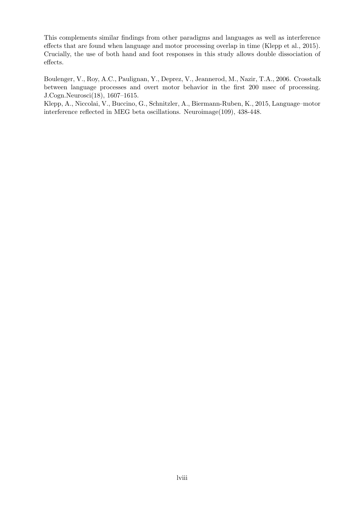This complements similar findings from other paradigms and languages as well as interference effects that are found when language and motor processing overlap in time (Klepp et al., 2015). Crucially, the use of both hand and foot responses in this study allows double dissociation of effects.

Boulenger, V., Roy, A.C., Paulignan, Y., Deprez, V., Jeannerod, M., Nazir, T.A., 2006. Crosstalk between language processes and overt motor behavior in the first 200 msec of processing. J.Cogn.Neurosci(18), 1607–1615.

Klepp, A., Niccolai, V., Buccino, G., Schnitzler, A., Biermann-Ruben, K., 2015, Language–motor interference reflected in MEG beta oscillations. Neuroimage(109), 438-448.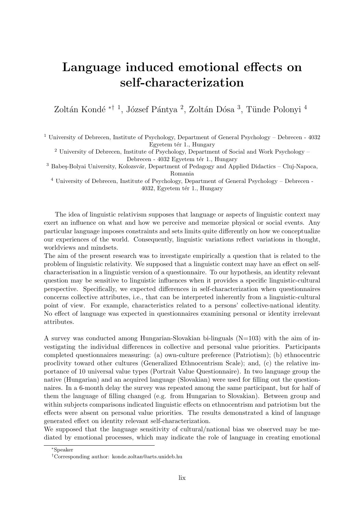### Language induced emotional effects on self-characterization

Zoltán Kondé <sup>\*† 1</sup>, József Pántya <sup>2</sup>, Zoltán Dósa <sup>3</sup>, Tünde Polonyi <sup>4</sup>

<sup>1</sup> University of Debrecen, Institute of Psychology, Department of General Psychology – Debrecen -  $4032$ Egyetem tér 1., Hungary

<sup>2</sup> University of Debrecen, Institute of Psychology, Department of Social and Work Psychology – Debrecen - 4032 Egyetem tér 1., Hungary

<sup>3</sup> Babeş-Bolyai University, Kolozsvár, Department of Pedagogy and Applied Didactics - Cluj-Napoca, Romania

<sup>4</sup> University of Debrecen, Institute of Psychology, Department of General Psychology – Debrecen - 4032, Egyetem tér 1., Hungary

The idea of linguistic relativism supposes that language or aspects of linguistic context may exert an influence on what and how we perceive and memorize physical or social events. Any particular language imposes constraints and sets limits quite differently on how we conceptualize our experiences of the world. Consequently, linguistic variations reflect variations in thought, worldviews and mindsets.

The aim of the present research was to investigate empirically a question that is related to the problem of linguistic relativity. We supposed that a linguistic context may have an effect on selfcharacterisation in a linguistic version of a questionnaire. To our hypothesis, an identity relevant question may be sensitive to linguistic influences when it provides a specific linguistic-cultural perspective. Specifically, we expected differences in self-characterization when questionnaires concerns collective attributes, i.e., that can be interpreted inherently from a linguistic-cultural point of view. For example, characteristics related to a persons' collective-national identity. No effect of language was expected in questionnaires examining personal or identity irrelevant attributes.

A survey was conducted among Hungarian-Slovakian bi-linguals  $(N=103)$  with the aim of investigating the individual differences in collective and personal value priorities. Participants completed questionnaires measuring: (a) own-culture preference (Patriotism); (b) ethnocentric proclivity toward other cultures (Generalized Ethnocentrism Scale); and, (c) the relative importance of 10 universal value types (Portrait Value Questionnaire). In two language group the native (Hungarian) and an acquired language (Slovakian) were used for filling out the questionnaires. In a 6-month delay the survey was repeated among the same participant, but for half of them the language of filling changed (e.g. from Hungarian to Slovakian). Between group and within subjects comparisons indicated linguistic effects on ethnocentrism and patriotism but the effects were absent on personal value priorities. The results demonstrated a kind of language generated effect on identity relevant self-characterization.

We supposed that the language sensitivity of cultural/national bias we observed may be mediated by emotional processes, which may indicate the role of language in creating emotional

<sup>∗</sup>Speaker

<sup>†</sup>Corresponding author: [konde.zoltan@arts.unideb.hu](mailto:konde.zoltan@arts.unideb.hu)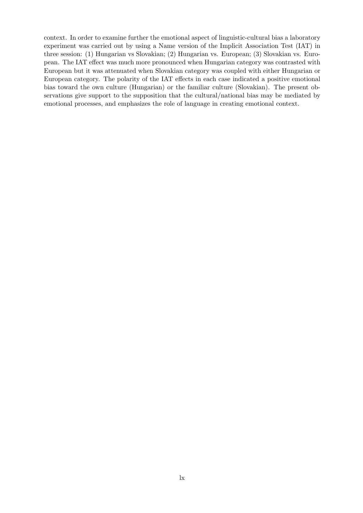context. In order to examine further the emotional aspect of linguistic-cultural bias a laboratory experiment was carried out by using a Name version of the Implicit Association Test (IAT) in three session: (1) Hungarian vs Slovakian; (2) Hungarian vs. European; (3) Slovakian vs. European. The IAT effect was much more pronounced when Hungarian category was contrasted with European but it was attenuated when Slovakian category was coupled with either Hungarian or European category. The polarity of the IAT effects in each case indicated a positive emotional bias toward the own culture (Hungarian) or the familiar culture (Slovakian). The present observations give support to the supposition that the cultural/national bias may be mediated by emotional processes, and emphasizes the role of language in creating emotional context.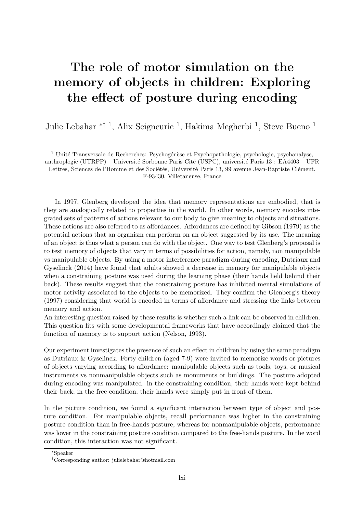### The role of motor simulation on the memory of objects in children: Exploring the effect of posture during encoding

Julie Lebahar <sup>\*† 1</sup>, Alix Seigneuric <sup>1</sup>, Hakima Megherbi <sup>1</sup>, Steve Bueno <sup>1</sup>

 $^{\rm 1}$ Unité Transversale de Recherches: Psychogénèse et Psychopathologie, psychologie, psychanalyse, anthroplogie (UTRPP) – Université Sorbonne Paris Cité (USPC), université Paris 13 : EA4403 – UFR Lettres, Sciences de l'Homme et des Sociétés, Université Paris 13, 99 avenue Jean-Baptiste Clément, F-93430, Villetaneuse, France

In 1997, Glenberg developed the idea that memory representations are embodied, that is they are analogically related to properties in the world. In other words, memory encodes integrated sets of patterns of actions relevant to our body to give meaning to objects and situations. These actions are also referred to as affordances. Affordances are defined by Gibson (1979) as the potential actions that an organism can perform on an object suggested by its use. The meaning of an object is thus what a person can do with the object. One way to test Glenberg's proposal is to test memory of objects that vary in terms of possibilities for action, namely, non manipulable vs manipulable objects. By using a motor interference paradigm during encoding, Dutriaux and Gyselinck (2014) have found that adults showed a decrease in memory for manipulable objects when a constraining posture was used during the learning phase (their hands held behind their back). These results suggest that the constraining posture has inhibited mental simulations of motor activity associated to the objects to be memorized. They confirm the Glenberg's theory (1997) considering that world is encoded in terms of affordance and stressing the links between memory and action.

An interesting question raised by these results is whether such a link can be observed in children. This question fits with some developmental frameworks that have accordingly claimed that the function of memory is to support action (Nelson, 1993).

Our experiment investigates the presence of such an effect in children by using the same paradigm as Dutriaux & Gyselinck. Forty children (aged 7-9) were invited to memorize words or pictures of objects varying according to affordance: manipulable objects such as tools, toys, or musical instruments vs nonmanipulable objects such as monuments or buildings. The posture adopted during encoding was manipulated: in the constraining condition, their hands were kept behind their back; in the free condition, their hands were simply put in front of them.

In the picture condition, we found a significant interaction between type of object and posture condition. For manipulable objects, recall performance was higher in the constraining posture condition than in free-hands posture, whereas for nonmanipulable objects, performance was lower in the constraining posture condition compared to the free-hands posture. In the word condition, this interaction was not significant.

<sup>∗</sup>Speaker

<sup>†</sup>Corresponding author: [julielebahar@hotmail.com](mailto:julielebahar@hotmail.com)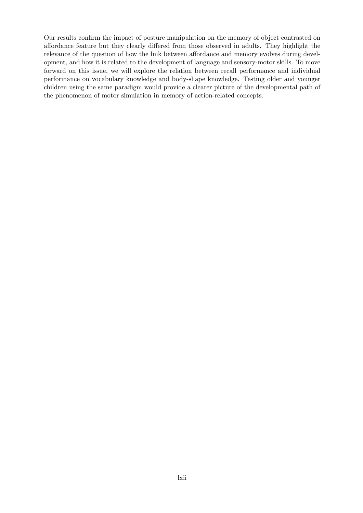Our results confirm the impact of posture manipulation on the memory of object contrasted on affordance feature but they clearly differed from those observed in adults. They highlight the relevance of the question of how the link between affordance and memory evolves during development, and how it is related to the development of language and sensory-motor skills. To move forward on this issue, we will explore the relation between recall performance and individual performance on vocabulary knowledge and body-shape knowledge. Testing older and younger children using the same paradigm would provide a clearer picture of the developmental path of the phenomenon of motor simulation in memory of action-related concepts.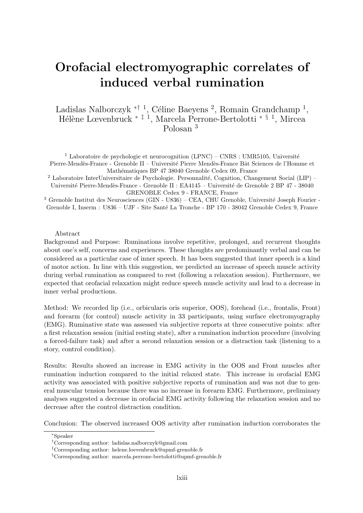### <span id="page-63-0"></span>Orofacial electromyographic correlates of induced verbal rumination

Ladislas Nalborczyk <sup>\*† 1</sup>, Céline Baeyens<sup>2</sup>, Romain Grandchamp<sup>1</sup>, Hélène Lœvenbruck <sup>\*‡ 1</sup>, Marcela Perrone-Bertolotti <sup>\*§ 1</sup>, Mircea Polosan <sup>3</sup>

<sup>1</sup> Laboratoire de psychologie et neurocognition (LPNC) – CNRS : UMR5105, Université Pierre-Mendès-France - Grenoble II – Université Pierre Mendès-France Bât Sciences de l'Homme et Mathématiques BP 47 38040 Grenoble Cedex 09, France

<sup>2</sup> Laboratoire InterUniversitaire de Psychologie. Personnalité, Cognition, Changement Social (LIP) – Université Pierre-Mendès-France - Grenoble II : EA4145 – Université de Grenoble 2 BP 47 - 38040 GRENOBLE Cedex 9 - FRANCE, France

 $3$  Grenoble Institut des Neurosciences (GIN - U836) – CEA, CHU Grenoble, Université Joseph Fourier -Grenoble I, Inserm : U836 – UJF - Site Santé La Tronche - BP 170 - 38042 Grenoble Cedex 9, France

#### Abstract

Background and Purpose: Ruminations involve repetitive, prolonged, and recurrent thoughts about one's self, concerns and experiences. These thoughts are predominantly verbal and can be considered as a particular case of inner speech. It has been suggested that inner speech is a kind of motor action. In line with this suggestion, we predicted an increase of speech muscle activity during verbal rumination as compared to rest (following a relaxation session). Furthermore, we expected that orofacial relaxation might reduce speech muscle activity and lead to a decrease in inner verbal productions.

Method: We recorded lip (i.e., orbicularis oris superior, OOS), forehead (i.e., frontalis, Front) and forearm (for control) muscle activity in 33 participants, using surface electromyography (EMG). Ruminative state was assessed via subjective reports at three consecutive points: after a first relaxation session (initial resting state), after a rumination induction procedure (involving a forced-failure task) and after a second relaxation session or a distraction task (listening to a story, control condition).

Results: Results showed an increase in EMG activity in the OOS and Front muscles after rumination induction compared to the initial relaxed state. This increase in orofacial EMG activity was associated with positive subjective reports of rumination and was not due to general muscular tension because there was no increase in forearm EMG. Furthermore, preliminary analyses suggested a decrease in orofacial EMG activity following the relaxation session and no decrease after the control distraction condition.

Conclusion: The observed increased OOS activity after rumination induction corroborates the

<sup>∗</sup>Speaker

<sup>†</sup>Corresponding author: [ladislas.nalborczyk@gmail.com](mailto:ladislas.nalborczyk@gmail.com)

<sup>‡</sup>Corresponding author: [helene.loevenbruck@upmf-grenoble.fr](mailto:helene.loevenbruck@upmf-grenoble.fr)

<sup>§</sup>Corresponding author: [marcela.perrone-bertolotti@upmf-grenoble.fr](mailto:marcela.perrone-bertolotti@upmf-grenoble.fr)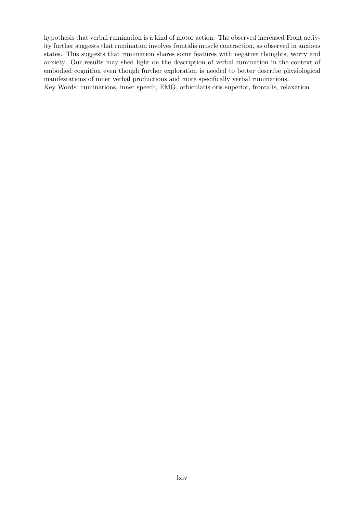hypothesis that verbal rumination is a kind of motor action. The observed increased Front activity further suggests that rumination involves frontalis muscle contraction, as observed in anxious states. This suggests that rumination shares some features with negative thoughts, worry and anxiety. Our results may shed light on the description of verbal rumination in the context of embodied cognition even though further exploration is needed to better describe physiological manifestations of inner verbal productions and more specifically verbal ruminations. Key Words: ruminations, inner speech, EMG, orbicularis oris superior, frontalis, relaxation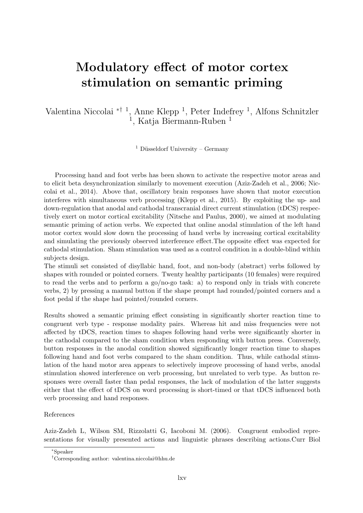### Modulatory effect of motor cortex stimulation on semantic priming

Valentina Niccolai <sup>\*† 1</sup>, Anne Klepp <sup>1</sup>, Peter Indefrey <sup>1</sup>, Alfons Schnitzler <sup>1</sup>, Katja Biermann-Ruben<sup>1</sup>

<sup>1</sup> Düsseldorf University – Germany

Processing hand and foot verbs has been shown to activate the respective motor areas and to elicit beta desynchronization similarly to movement execution (Aziz-Zadeh et al., 2006; Niccolai et al., 2014). Above that, oscillatory brain responses have shown that motor execution interferes with simultaneous verb processing (Klepp et al., 2015). By exploiting the up- and down-regulation that anodal and cathodal transcranial direct current stimulation (tDCS) respectively exert on motor cortical excitability (Nitsche and Paulus, 2000), we aimed at modulating semantic priming of action verbs. We expected that online anodal stimulation of the left hand motor cortex would slow down the processing of hand verbs by increasing cortical excitability and simulating the previously observed interference effect.The opposite effect was expected for cathodal stimulation. Sham stimulation was used as a control condition in a double-blind within subjects design.

The stimuli set consisted of disyllabic hand, foot, and non-body (abstract) verbs followed by shapes with rounded or pointed corners. Twenty healthy participants (10 females) were required to read the verbs and to perform a go/no-go task: a) to respond only in trials with concrete verbs, 2) by pressing a manual button if the shape prompt had rounded/pointed corners and a foot pedal if the shape had pointed/rounded corners.

Results showed a semantic priming effect consisting in significantly shorter reaction time to congruent verb type - response modality pairs. Whereas hit and miss frequencies were not affected by tDCS, reaction times to shapes following hand verbs were significantly shorter in the cathodal compared to the sham condition when responding with button press. Conversely, button responses in the anodal condition showed significantly longer reaction time to shapes following hand and foot verbs compared to the sham condition. Thus, while cathodal stimulation of the hand motor area appears to selectively improve processing of hand verbs, anodal stimulation showed interference on verb processing, but unrelated to verb type. As button responses were overall faster than pedal responses, the lack of modulation of the latter suggests either that the effect of tDCS on word processing is short-timed or that tDCS influenced both verb processing and hand responses.

### References

Aziz-Zadeh L, Wilson SM, Rizzolatti G, Iacoboni M. (2006). Congruent embodied representations for visually presented actions and linguistic phrases describing actions.Curr Biol

<sup>∗</sup>Speaker

<sup>†</sup>Corresponding author: [valentina.niccolai@hhu.de](mailto:valentina.niccolai@hhu.de)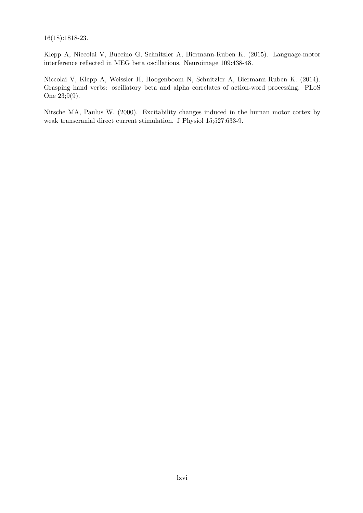16(18):1818-23.

Klepp A, Niccolai V, Buccino G, Schnitzler A, Biermann-Ruben K. (2015). Language-motor interference reflected in MEG beta oscillations. Neuroimage 109:438-48.

Niccolai V, Klepp A, Weissler H, Hoogenboom N, Schnitzler A, Biermann-Ruben K. (2014). Grasping hand verbs: oscillatory beta and alpha correlates of action-word processing. PLoS One 23;9(9).

Nitsche MA, Paulus W. (2000). Excitability changes induced in the human motor cortex by weak transcranial direct current stimulation. J Physiol 15;527:633-9.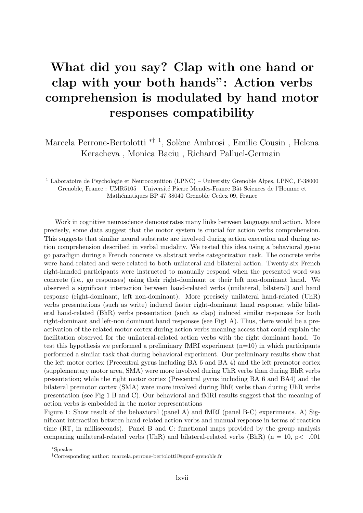## What did you say? Clap with one hand or clap with your both hands": Action verbs comprehension is modulated by hand motor responses compatibility

Marcela Perrone-Bertolotti <sup>\*† 1</sup>, Solène Ambrosi, Emilie Cousin, Helena Keracheva , Monica Baciu , Richard Palluel-Germain

<sup>1</sup> Laboratoire de Psychologie et Neurocognition (LPNC) – University Grenoble Alpes, LPNC, F-38000 Grenoble, France : UMR5105 – Université Pierre Mendès-France Bât Sciences de l'Homme et Mathématiques BP 47 38040 Grenoble Cedex 09, France

Work in cognitive neuroscience demonstrates many links between language and action. More precisely, some data suggest that the motor system is crucial for action verbs comprehension. This suggests that similar neural substrate are involved during action execution and during action comprehension described in verbal modality. We tested this idea using a behavioral go-no go paradigm during a French concrete vs abstract verbs categorization task. The concrete verbs were hand-related and were related to both unilateral and bilateral action. Twenty-six French right-handed participants were instructed to manually respond when the presented word was concrete (i.e., go responses) using their right-dominant or their left non-dominant hand. We observed a significant interaction between hand-related verbs (unilateral, bilateral) and hand response (right-dominant, left non-dominant). More precisely unilateral hand-related (UhR) verbs presentations (such as write) induced faster right-dominant hand response; while bilateral hand-related (BhR) verbs presentation (such as clap) induced similar responses for both right-dominant and left-non dominant hand responses (see Fig1 A). Thus, there would be a preactivation of the related motor cortex during action verbs meaning access that could explain the facilitation observed for the unilateral-related action verbs with the right dominant hand. To test this hypothesis we performed a preliminary fMRI experiment  $(n=10)$  in which participants performed a similar task that during behavioral experiment. Our preliminary results show that the left motor cortex (Precentral gyrus including BA 6 and BA 4) and the left premotor cortex (supplementary motor area, SMA) were more involved during UhR verbs than during BhR verbs presentation; while the right motor cortex (Precentral gyrus including BA 6 and BA4) and the bilateral premotor cortex (SMA) were more involved during BhR verbs than during UhR verbs presentation (see Fig 1 B and C). Our behavioral and fMRI results suggest that the meaning of action verbs is embedded in the motor representations

Figure 1: Show result of the behavioral (panel A) and fMRI (panel B-C) experiments. A) Significant interaction between hand-related action verbs and manual response in terms of reaction time (RT, in milliseconds). Panel B and C: functional maps provided by the group analysis comparing unilateral-related verbs (UhR) and bilateral-related verbs (BhR) ( $n = 10$ ,  $p < .001$ )

<sup>∗</sup>Speaker

<sup>†</sup>Corresponding author: [marcela.perrone-bertolotti@upmf-grenoble.fr](mailto:marcela.perrone-bertolotti@upmf-grenoble.fr)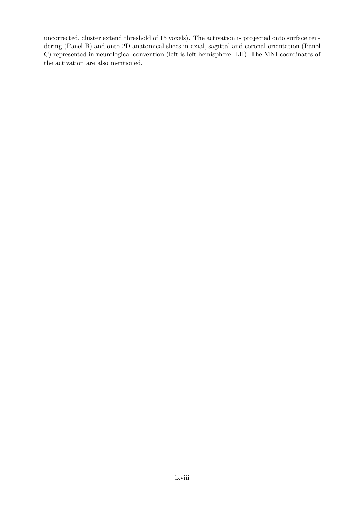uncorrected, cluster extend threshold of 15 voxels). The activation is projected onto surface rendering (Panel B) and onto 2D anatomical slices in axial, sagittal and coronal orientation (Panel C) represented in neurological convention (left is left hemisphere, LH). The MNI coordinates of the activation are also mentioned.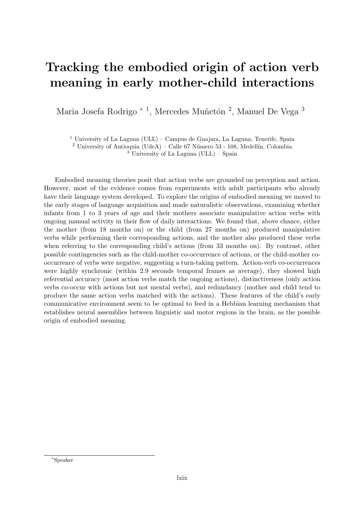### Tracking the embodied origin of action verb meaning in early mother-child interactions

Maria Josefa Rodrigo <sup>\* 1</sup>, Mercedes Muñetón <sup>2</sup>, Manuel De Vega <sup>3</sup>

 $1$  University of La Laguna (ULL) – Campus de Guajara, La Laguna, Tenerife, Spain

<sup>2</sup> University of Antioquia (UdeA) – Calle 67 Número 53 - 108, Medellín, Colombia

 $3$  University of La Laguna (ULL) – Spain

Embodied meaning theories posit that action verbs are grounded on perception and action. However, most of the evidence comes from experiments with adult participants who already have their language system developed. To explore the origins of embodied meaning we moved to the early stages of language acquisition and made naturalistic observations, examining whether infants from 1 to 3 years of age and their mothers associate manipulative action verbs with ongoing manual activity in their flow of daily interactions. We found that, above chance, either the mother (from 18 months on) or the child (from 27 months on) produced manipulative verbs while performing their corresponding actions, and the mother also produced these verbs when referring to the corresponding child's actions (from 33 months on). By contrast, other possible contingencies such as the child-mother co-occurrence of actions, or the child-mother cooccurrence of verbs were negative, suggesting a turn-taking pattern. Action-verb co-occurrences were highly synchronic (within 2.9 seconds temporal frames as average), they showed high referential accuracy (most action verbs match the ongoing actions), distinctiveness (only action verbs co-occur with actions but not mental verbs), and redundancy (mother and child tend to produce the same action verbs matched with the actions). These features of the child's early communicative environment seem to be optimal to feed in a Hebbian learning mechanism that establishes neural assemblies between linguistic and motor regions in the brain, as the possible origin of embodied meaning.

<sup>∗</sup>Speaker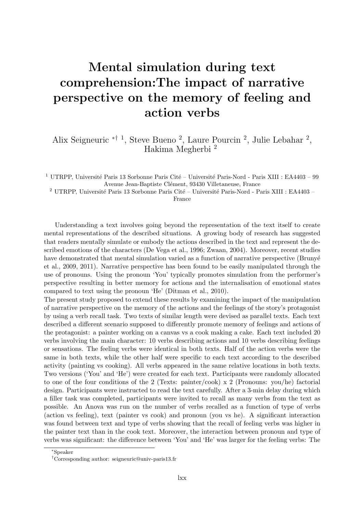### Mental simulation during text comprehension:The impact of narrative perspective on the memory of feeling and action verbs

Alix Seigneuric ∗† <sup>1</sup> , Steve Bueno <sup>2</sup> , Laure Pourcin <sup>2</sup> , Julie Lebahar <sup>2</sup> , Hakima Megherbi <sup>2</sup>

<sup>1</sup> UTRPP, Université Paris 13 Sorbonne Paris Cité – Université Paris-Nord - Paris XIII : EA4403 – 99 Avenue Jean-Baptiste Clément, 93430 Villetaneuse, France

 $^2$ UTRPP, Université Paris 13 Sorbonne Paris Cité – Université Paris-Nord - Paris XIII : EA4403 –

France

Understanding a text involves going beyond the representation of the text itself to create mental representations of the described situations. A growing body of research has suggested that readers mentally simulate or embody the actions described in the text and represent the described emotions of the characters (De Vega et al., 1996; Zwaan, 2004). Moreover, recent studies have demonstrated that mental simulation varied as a function of narrative perspective (Brunyé et al., 2009, 2011). Narrative perspective has been found to be easily manipulated through the use of pronouns. Using the pronoun 'You' typically promotes simulation from the performer's perspective resulting in better memory for actions and the internalisation of emotional states compared to text using the pronoun 'He' (Ditman et al., 2010).

The present study proposed to extend these results by examining the impact of the manipulation of narrative perspective on the memory of the actions and the feelings of the story's protagonist by using a verb recall task. Two texts of similar length were devised as parallel texts. Each text described a different scenario supposed to differently promote memory of feelings and actions of the protagonist: a painter working on a canvas vs a cook making a cake. Each text included 20 verbs involving the main character: 10 verbs describing actions and 10 verbs describing feelings or sensations. The feeling verbs were identical in both texts. Half of the action verbs were the same in both texts, while the other half were specific to each text according to the described activity (painting vs cooking). All verbs appeared in the same relative locations in both texts. Two versions ('You' and 'He') were created for each text. Participants were randomly allocated to one of the four conditions of the 2 (Texts: painter/cook) x 2 (Pronouns: you/he) factorial design. Participants were instructed to read the text carefully. After a 3-min delay during which a filler task was completed, participants were invited to recall as many verbs from the text as possible. An Anova was run on the number of verbs recalled as a function of type of verbs (action vs feeling), text (painter vs cook) and pronoun (you vs he). A significant interaction was found between text and type of verbs showing that the recall of feeling verbs was higher in the painter text than in the cook text. Moreover, the interaction between pronoun and type of verbs was significant: the difference between 'You' and 'He' was larger for the feeling verbs: The

<sup>∗</sup>Speaker

<sup>†</sup>Corresponding author: [seigneuric@univ-paris13.fr](mailto:seigneuric@univ-paris13.fr)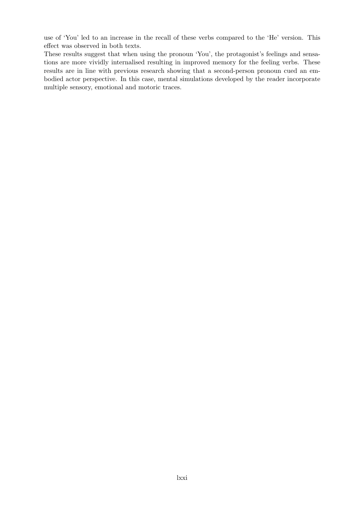use of 'You' led to an increase in the recall of these verbs compared to the 'He' version. This effect was observed in both texts.

These results suggest that when using the pronoun 'You', the protagonist's feelings and sensations are more vividly internalised resulting in improved memory for the feeling verbs. These results are in line with previous research showing that a second-person pronoun cued an embodied actor perspective. In this case, mental simulations developed by the reader incorporate multiple sensory, emotional and motoric traces.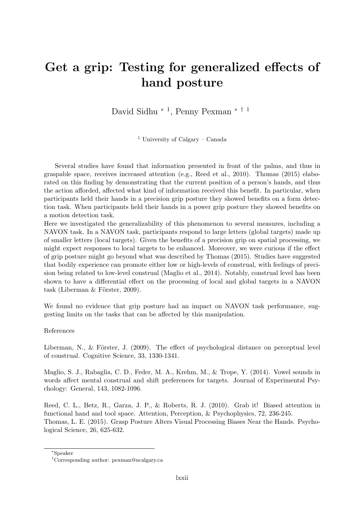#### <span id="page-72-0"></span>Get a grip: Testing for generalized effects of hand posture

David Sidhu <sup>∗</sup> <sup>1</sup> , Penny Pexman [∗](#page-72-0) † <sup>1</sup>

<sup>1</sup> University of Calgary – Canada

Several studies have found that information presented in front of the palms, and thus in graspable space, receives increased attention (e.g., Reed et al., 2010). Thomas (2015) elaborated on this finding by demonstrating that the current position of a person's hands, and thus the action afforded, affected what kind of information received this benefit. In particular, when participants held their hands in a precision grip posture they showed benefits on a form detection task. When participants held their hands in a power grip posture they showed benefits on a motion detection task.

Here we investigated the generalizability of this phenomenon to several measures, including a NAVON task. In a NAVON task, participants respond to large letters (global targets) made up of smaller letters (local targets). Given the benefits of a precision grip on spatial processing, we might expect responses to local targets to be enhanced. Moreover, we were curious if the effect of grip posture might go beyond what was described by Thomas (2015). Studies have suggested that bodily experience can promote either low or high-levels of construal, with feelings of precision being related to low-level construal (Maglio et al., 2014). Notably, construal level has been shown to have a differential effect on the processing of local and global targets in a NAVON task (Liberman  $&$  Förster, 2009).

We found no evidence that grip posture had an impact on NAVON task performance, suggesting limits on the tasks that can be affected by this manipulation.

#### References

Liberman, N., & Förster, J.  $(2009)$ . The effect of psychological distance on perceptual level of construal. Cognitive Science, 33, 1330-1341.

Maglio, S. J., Rabaglia, C. D., Feder, M. A., Krehm, M., & Trope, Y. (2014). Vowel sounds in words affect mental construal and shift preferences for targets. Journal of Experimental Psychology: General, 143, 1082-1096.

Reed, C. L., Betz, R., Garza, J. P., & Roberts, R. J. (2010). Grab it! Biased attention in functional hand and tool space. Attention, Perception, & Psychophysics, 72, 236-245. Thomas, L. E. (2015). Grasp Posture Alters Visual Processing Biases Near the Hands. Psychological Science, 26, 625-632.

<sup>∗</sup>Speaker

<sup>†</sup>Corresponding author: [pexman@ucalgary.ca](mailto:pexman@ucalgary.ca)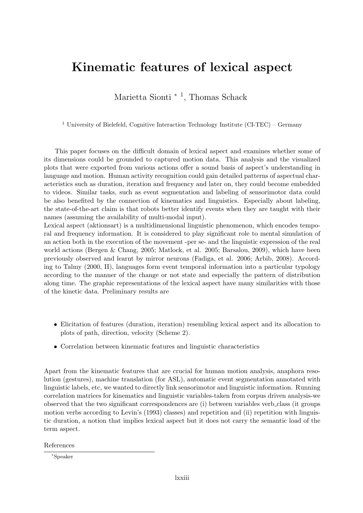#### Kinematic features of lexical aspect

Marietta Sionti<sup>\*</sup><sup>1</sup>, Thomas Schack

<sup>1</sup> University of Bielefeld, Cognitive Interaction Technology Institute (CI-TEC) – Germany

This paper focuses on the difficult domain of lexical aspect and examines whether some of its dimensions could be grounded to captured motion data. This analysis and the visualized plots that were exported from various actions offer a sound basis of aspect's understanding in language and motion. Human activity recognition could gain detailed patterns of aspectual characteristics such as duration, iteration and frequency and later on, they could become embedded to videos. Similar tasks, such as event segmentation and labeling of sensorimotor data could be also benefited by the connection of kinematics and linguistics. Especially about labeling, the state-of-the-art claim is that robots better identify events when they are taught with their names (assuming the availability of multi-modal input).

Lexical aspect (aktionsart) is a multidimensional linguistic phenomenon, which encodes temporal and frequency information. It is considered to play significant role to mental simulation of an action both in the execution of the movement -per se- and the linguistic expression of the real world actions (Bergen & Chang, 2005; Matlock, et al. 2005; Barsalou, 2009), which have been previously observed and learnt by mirror neurons (Fadiga, et al. 2006; Arbib, 2008). According to Talmy (2000, II), languages form event temporal information into a particular typology according to the manner of the change or not state and especially the pattern of distribution along time. The graphic representations of the lexical aspect have many similarities with those of the kinetic data. Preliminary results are

- Elicitation of features (duration, iteration) resembling lexical aspect and its allocation to plots of path, direction, velocity (Scheme 2).
- Correlation between kinematic features and linguistic characteristics

Apart from the kinematic features that are crucial for human motion analysis, anaphora resolution (gestures), machine translation (for ASL), automatic event segmentation annotated with linguistic labels, etc, we wanted to directly link sensorimotor and linguistic information. Running correlation matrices for kinematics and linguistic variables-taken from corpus driven analysis-we observed that the two significant correspondences are (i) between variables verb class (it groups motion verbs according to Levin's (1993) classes) and repetition and (ii) repetition with linguistic duration, a notion that implies lexical aspect but it does not carry the semantic load of the term aspect.

References

<sup>∗</sup>Speaker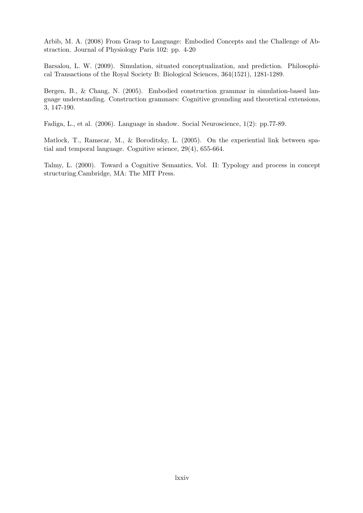Arbib, M. A. (2008) From Grasp to Language: Embodied Concepts and the Challenge of Abstraction. Journal of Physiology Paris 102: pp. 4-20

Barsalou, L. W. (2009). Simulation, situated conceptualization, and prediction. Philosophical Transactions of the Royal Society B: Biological Sciences, 364(1521), 1281-1289.

Bergen, B., & Chang, N. (2005). Embodied construction grammar in simulation-based language understanding. Construction grammars: Cognitive grounding and theoretical extensions, 3, 147-190.

Fadiga, L., et al. (2006). Language in shadow. Social Neuroscience, 1(2): pp.77-89.

Matlock, T., Ramscar, M., & Boroditsky, L. (2005). On the experiential link between spatial and temporal language. Cognitive science, 29(4), 655-664.

Talmy, L. (2000). Toward a Cognitive Semantics, Vol. II: Typology and process in concept structuring.Cambridge, MA: The MIT Press.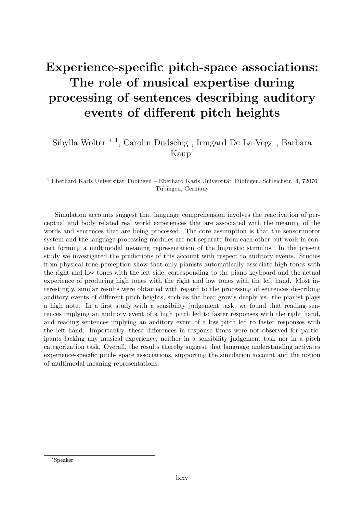### Experience-specific pitch-space associations: The role of musical expertise during processing of sentences describing auditory events of different pitch heights

#### Sibylla Wolter <sup>∗</sup> <sup>1</sup> , Carolin Dudschig , Irmgard De La Vega , Barbara Kaup

<sup>1</sup> Eberhard Karls Universität Tübingen – Eberhard Karls Universität Tübingen, Schleichstr. 4, 72076 Tübingen, Germany

Simulation accounts suggest that language comprehension involves the reactivation of perceptual and body related real world experiences that are associated with the meaning of the words and sentences that are being processed. The core assumption is that the sensorimotor system and the language processing modules are not separate from each other but work in concert forming a multimodal meaning representation of the linguistic stimulus. In the present study we investigated the predictions of this account with respect to auditory events. Studies from physical tone perception show that only pianists automatically associate high tones with the right and low tones with the left side, corresponding to the piano keyboard and the actual experience of producing high tones with the right and low tones with the left hand. Most interestingly, similar results were obtained with regard to the processing of sentences describing auditory events of different pitch heights, such as the bear growls deeply vs. the pianist plays a high note. In a first study with a sensibility judgement task, we found that reading sentences implying an auditory event of a high pitch led to faster responses with the right hand, and reading sentences implying an auditory event of a low pitch led to faster responses with the left hand. Importantly, these differences in response times were not observed for participants lacking any musical experience, neither in a sensibility judgement task nor in a pitch categorization task. Overall, the results thereby suggest that language understanding activates experience-specific pitch- space associations, supporting the simulation account and the notion of multimodal meaning representations.

<sup>∗</sup>Speaker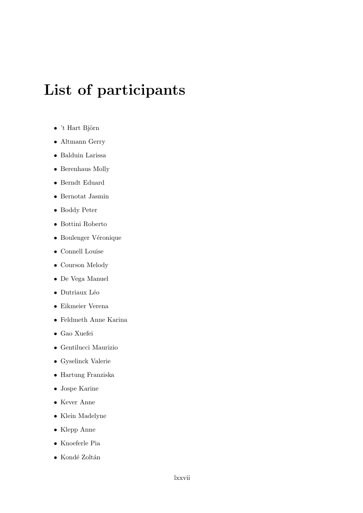# List of participants

- $\bullet$  't Hart Björn
- [Altmann Gerry](mailto:gerry.altmann@york.ac.uk)
- [Balduin Larissa](mailto:la.balduin@uni-bielefeld.de)
- [Berenhaus Molly](mailto:m.berenhaus@sussex.ac.uk)
- [Berndt Eduard](mailto:eduard.berndt@uni-tuebingen.de)
- [Bernotat Jasmin](mailto:Jasmin.Bernotat@uni-bielefeld.de)
- [Boddy Peter](mailto:p.boddy@bcbl.eu)
- [Bottini Roberto](mailto:bottini.r@gmail.com)
- $\bullet$  Boulenger Véronique
- [Connell Louise](mailto:L.connell@lancaster.ac.uk)
- [Courson Melody](mailto:melody.courson@crulrg.ulaval.ca)
- [De Vega Manuel](mailto:mdevega@ull.es)
- $\bullet$  Dutriaux Léo
- [Eikmeier Verena](mailto:verena.eikmeier@uni-tuebingen.de)
- [Feldmeth Anne Karina](mailto:anne.karina@cognition.uni-freiburg.de)
- [Gao Xuefei](mailto:xuefeigao@gmail.com)
- [Gentilucci Maurizio](mailto:maurizio.gentilucci@unipr.it)
- [Gyselinck Valerie](mailto:valerie.gyselinck@parisdescartes.fr)
- [Hartung Franziska](mailto:franziska.hartung@mpi.nl)
- [Jospe Karine](mailto:karinejospe@gmail.com)
- [Kever Anne](mailto:anne.kever@uclouvain.be)
- [Klein Madelyne](mailto:madelyne.klein@gmail.com)
- [Klepp Anne](mailto:anne.klepp@hhu.de)
- [Knoeferle Pia](mailto:knoeferl@cit-ec.uni-bielefeld.de)
- Kondé Zoltán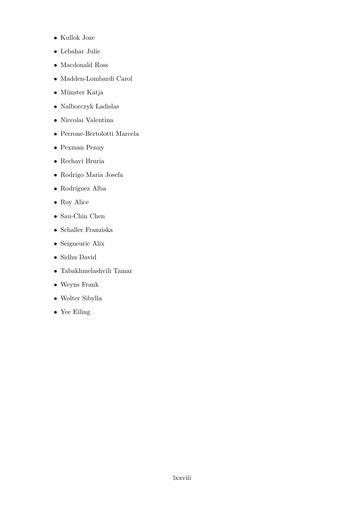- [Kullok Joze](mailto:josekullok@aspenptech.com)
- [Lebahar Julie](mailto:julielebahar@hotmail.com)
- [Macdonald Ross](mailto:rossgmacdo@gmail.com)
- [Madden-Lombardi Carol](mailto:Carol.Madden@inserm.fr)
- Münster Katja
- [Nalborczyk Ladislas](mailto:ladislas.nalborczyk@gmail.com)
- [Niccolai Valentina](mailto:valentina.niccolai@hhu.de)
- [Perrone-Bertolotti Marcela](mailto:marcela.perrone-bertolotti@upmf-grenoble.fr)
- [Pexman Penny](mailto:pexman@ucalgary.ca)
- [Rechavi Bruria](mailto:bruria_ettinger@walla.co.il)
- [Rodrigo Maria Josefa](mailto:josefa.rodrigo@gmail.com)
- $\bullet~$ Rodríguez Alba
- [Roy Alice](mailto:a.c.farne@gmail.com)
- [Sau-Chin Chen](mailto:pmsp96@gmail.com)
- [Schaller Franziska](mailto:franziska.schaller@uni-bielefeld.de)
- [Seigneuric Alix](mailto:seigneuric@univ-paris13.fr)
- [Sidhu David](mailto:dmsidhu@gmail.com)
- [Tabakhmelashvili Tamar](mailto:tamar.tabakhmelashvili@isp.uio.no)
- [Weyns Frank](mailto:frank.weyns001@gmail.com)
- [Wolter Sibylla](mailto:sibylla.wolter@uni-tuebingen.de)
- [Yee Eiling](mailto:eiling.yee@gmail.com)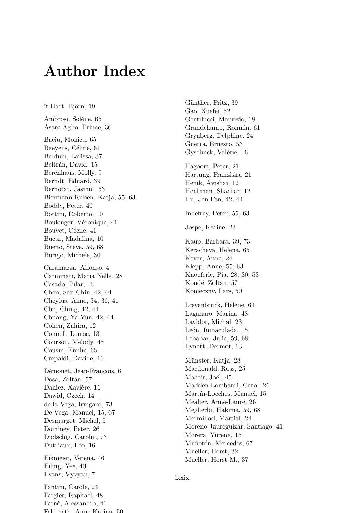## **Author Index**

't Hart, Björn, 19 Ambrosi, Solène, 65 Asare-Agbo, Prince, 36 Baciu, Monica, 65 Baeyens, Céline, 61 Balduin, Larissa, 37 Beltrán, David, 15 Berenhaus, Molly, 9 Berndt, Eduard, 39 Bernotat, Jasmin, 53 Biermann-Ruben, Katja, 55, 63 Boddy, Peter, 40 Bottini, Roberto, 10 Boulenger, Véronique, 41 Bouvet, Cécile, 41 Bucur, Madalina, 10 Bueno, Steve, 59, 68 Burigo, Michele, 30 Caramazza, Alfonso, 4 Carminati, Maria Nella, 28 Casado, Pilar, 15 Chen, Sau-Chin, 42, 44 Cheylus, Anne, 34, 36, 41 Chu, Ching, 42, 44 Chuang, Ya-Yun, 42, 44 Cohen, Zahira, 12 Connell, Louise, 13 Courson, Melody, 45 Cousin, Emilie, 65 Crepaldi, Davide, 10 Démonet, Jean-Francois, 6 Dósa, Zoltán, 57 Dahiez, Xavière, 16 Dawid, Czech, 14 de la Vega, Irmgard, 73 De Vega, Manuel, 15, 67 Desmurget, Michel, 5 Dominey, Peter, 26 Dudschig, Carolin, 73 Dutriaux, Léo, 16 Eikmeier, Verena, 46 Eiling, Yee, 40 Evans, Vyvyan, 7 Fantini, Carole, 24

Fargier, Raphael, 48 Farnè, Alessandro, 41 Foldmoth Anna Karina 50 Günther, Fritz, 39 Gao, Xuefei, 52 Gentilucci, Maurizio, 18 Grandchamp, Romain, 61 Grynberg, Delphine, 24 Guerra, Ernesto, 53 Gyselinck, Valérie, 16 Hagoort, Peter, 21 Hartung, Franziska, 21 Henik, Avishai, 12 Hochman, Shachar, 12 Hu, Jon-Fan, 42, 44 Indefrey, Peter, 55, 63 Jospe, Karine, 23 Kaup, Barbara, 39, 73 Keracheva, Helena, 65 Kever, Anne, 24 Klepp, Anne,  $55, 63$ Knoeferle, Pia, 28, 30, 53 Kondé, Zoltán, 57 Konieczny, Lars, 50 Lœvenbruck, Hélène, 61 Laganaro, Marina, 48 Lavidor, Michal, 23 León, Inmaculada, 15 Lebahar, Julie, 59, 68 Lynott, Dermot, 13 Münster, Katja, 28 Macdonald, Ross, 25 Macoir, Joël, 45 Madden-Lombardi, Carol, 26 Martín-Loeches, Manuel, 15 Mealier, Anne-Laure, 26 Megherbi, Hakima, 59, 68 Mermillod, Martial, 24 Moreno Jaureguizar, Santiago, 41 Morera, Yurena, 15 Muñetón, Mercedes, 67 Mueller, Horst, 32 Mueller, Horst M., 37

lxxix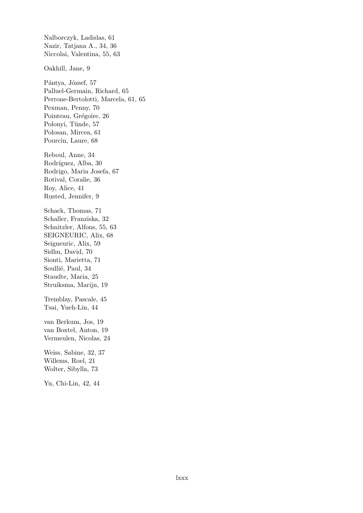Nalborczyk, Ladislas, [61](#page-0-0) Nazir, Tatjana A., [34,](#page-0-0) [36](#page-0-0) Niccolai, Valentina, [55,](#page-0-0) [63](#page-0-0) Oakhill, Jane, [9](#page-0-0) Pántya, József, [57](#page-0-0) Palluel-Germain, Richard, [65](#page-0-0) Perrone-Bertolotti, Marcela, [61,](#page-0-0) [65](#page-0-0) Pexman, Penny, [70](#page-0-0) Pointeau, Grégoire, [26](#page-0-0) Polonyi, Tünde, [57](#page-0-0) Polosan, Mircea, [61](#page-0-0) Pourcin, Laure, [68](#page-0-0) Reboul, Anne, [34](#page-0-0) Rodríguez, Alba, [30](#page-0-0) Rodrigo, Maria Josefa, [67](#page-0-0) Rotival, Coralie, [36](#page-0-0) Roy, Alice, [41](#page-0-0) Rusted, Jennifer, [9](#page-0-0) Schack, Thomas, [71](#page-0-0) Schaller, Franziska, [32](#page-0-0) Schnitzler, Alfons, [55,](#page-0-0) [63](#page-0-0) SEIGNEURIC, Alix, [68](#page-0-0) Seigneuric, Alix, [59](#page-0-0) Sidhu, David, [70](#page-0-0) Sionti, Marietta, [71](#page-0-0) Soullié, Paul, [34](#page-0-0) Staudte, Maria, [25](#page-0-0) Struiksma, Marijn, [19](#page-0-0) Tremblay, Pascale, [45](#page-0-0) Tsai, Yueh-Lin, [44](#page-0-0) van Berkum, Jos, [19](#page-0-0) van Boxtel, Anton, [19](#page-0-0) Vermeulen, Nicolas, [24](#page-0-0) Weiss, Sabine, [32,](#page-0-0) [37](#page-0-0) Willems, Roel, [21](#page-0-0) Wolter, Sibylla, [73](#page-0-0) Yu, Chi-Lin, [42,](#page-0-0) [44](#page-0-0)